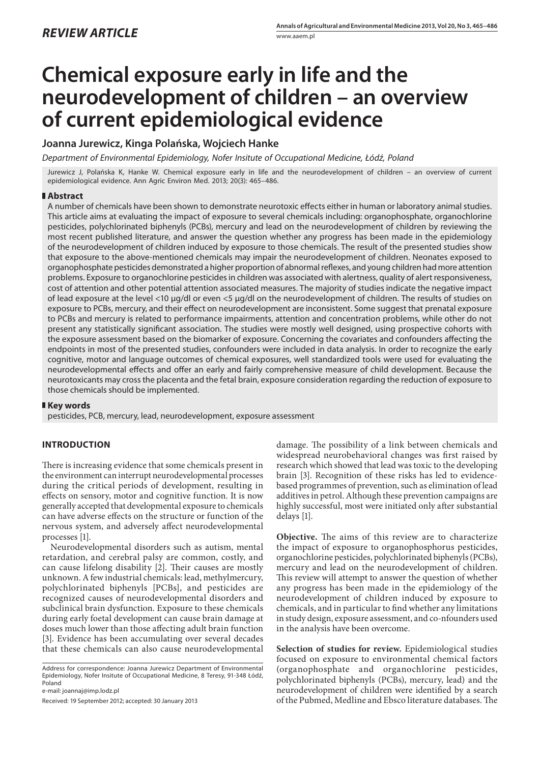# **Chemical exposure early in life and the neurodevelopment of children – an overview of current epidemiological evidence**

# **Joanna Jurewicz, Kinga Polańska, Wojciech Hanke**

*Department of Environmental Epidemiology, Nofer Insitute of Occupational Medicine, Łódź, Poland*

Jurewicz J, Polańska K, Hanke W. Chemical exposure early in life and the neurodevelopment of children – an overview of current epidemiological evidence. Ann Agric Environ Med. 2013; 20(3): 465–486.

# **Abstract**

A number of chemicals have been shown to demonstrate neurotoxic effects either in human or laboratory animal studies. This article aims at evaluating the impact of exposure to several chemicals including: organophosphate, organochlorine pesticides, polychlorinated biphenyls (PCBs), mercury and lead on the neurodevelopment of children by reviewing the most recent published literature, and answer the question whether any progress has been made in the epidemiology of the neurodevelopment of children induced by exposure to those chemicals. The result of the presented studies show that exposure to the above-mentioned chemicals may impair the neurodevelopment of children. Neonates exposed to organophosphate pesticides demonstrated a higher proportion of abnormal reflexes, and young children had more attention problems. Exposure to organochlorine pesticides in children was associated with alertness, quality of alert responsiveness, cost of attention and other potential attention associated measures. The majority of studies indicate the negative impact of lead exposure at the level <10 µg/dl or even <5 µg/dl on the neurodevelopment of children. The results of studies on exposure to PCBs, mercury, and their effect on neurodevelopment are inconsistent. Some suggest that prenatal exposure to PCBs and mercury is related to performance impairments, attention and concentration problems, while other do not present any statistically significant association. The studies were mostly well designed, using prospective cohorts with the exposure assessment based on the biomarker of exposure. Concerning the covariates and confounders affecting the endpoints in most of the presented studies, confounders were included in data analysis. In order to recognize the early cognitive, motor and language outcomes of chemical exposures, well standardized tools were used for evaluating the neurodevelopmental effects and offer an early and fairly comprehensive measure of child development. Because the neurotoxicants may cross the placenta and the fetal brain, exposure consideration regarding the reduction of exposure to those chemicals should be implemented.

# **Key words**

pesticides, PCB, mercury, lead, neurodevelopment, exposure assessment

# **INTRODUCTION**

There is increasing evidence that some chemicals present in the environment can interrupt neurodevelopmental processes during the critical periods of development, resulting in effects on sensory, motor and cognitive function. It is now generally accepted that developmental exposure to chemicals can have adverse effects on the structure or function of the nervous system, and adversely affect neurodevelopmental processes [1].

Neurodevelopmental disorders such as autism, mental retardation, and cerebral palsy are common, costly, and can cause lifelong disability [2]. Their causes are mostly unknown. A few industrial chemicals: lead, methylmercury, polychlorinated biphenyls [PCBs], and pesticides are recognized causes of neurodevelopmental disorders and subclinical brain dysfunction. Exposure to these chemicals during early foetal development can cause brain damage at doses much lower than those affecting adult brain function [3]. Evidence has been accumulating over several decades that these chemicals can also cause neurodevelopmental

Address for correspondence: Joanna Jurewicz Department of Environmental Epidemiology, Nofer Insitute of Occupational Medicine, 8 Teresy, 91-348 Łódź, Poland

e-mail: joannaj@imp.lodz.pl

Received: 19 September 2012; accepted: 30 January 2013

damage. The possibility of a link between chemicals and widespread neurobehavioral changes was first raised by research which showed that lead was toxic to the developing brain [3]. Recognition of these risks has led to evidencebased programmes of prevention, such as elimination of lead additives in petrol. Although these prevention campaigns are highly successful, most were initiated only after substantial delays [1].

**Objective.** The aims of this review are to characterize the impact of exposure to organophosphorus pesticides, organochlorine pesticides, polychlorinated biphenyls (PCBs), mercury and lead on the neurodevelopment of children. This review will attempt to answer the question of whether any progress has been made in the epidemiology of the neurodevelopment of children induced by exposure to chemicals, and in particular to find whether any limitations in study design, exposure assessment, and co-nfounders used in the analysis have been overcome.

**Selection of studies for review.** Epidemiological studies focused on exposure to environmental chemical factors (organophosphate and organochlorine pesticides, polychlorinated biphenyls (PCBs), mercury, lead) and the neurodevelopment of children were identified by a search of the Pubmed, Medline and Ebsco literature databases. The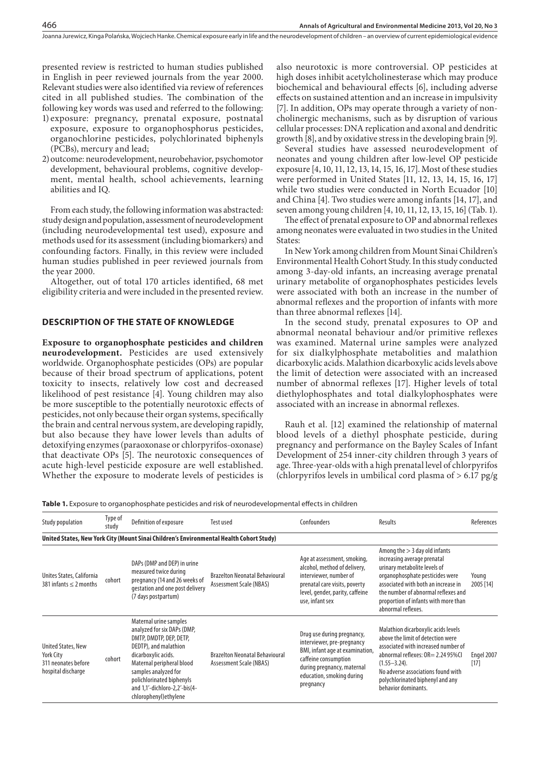presented review is restricted to human studies published in English in peer reviewed journals from the year 2000. Relevant studies were also identified via review of references cited in all published studies. The combination of the following key words was used and referred to the following:

- 1) exposure: pregnancy, prenatal exposure, postnatal exposure, exposure to organophosphorus pesticides, organochlorine pesticides, polychlorinated biphenyls (PCBs), mercury and lead;
- 2)outcome: neurodevelopment, neurobehavior, psychomotor development, behavioural problems, cognitive development, mental health, school achievements, learning abilities and IQ.

From each study, the following information was abstracted: study design and population, assessment of neurodevelopment (including neurodevelopmental test used), exposure and methods used for its assessment (including biomarkers) and confounding factors. Finally, in this review were included human studies published in peer reviewed journals from the year 2000.

Altogether, out of total 170 articles identified, 68 met eligibility criteria and were included in the presented review.

## **DESCRIPTION OF THE STATE OF KNOWLEDGE**

**Exposure to organophosphate pesticides and children neurodevelopment.** Pesticides are used extensively worldwide. Organophosphate pesticides (OPs) are popular because of their broad spectrum of applications, potent toxicity to insects, relatively low cost and decreased likelihood of pest resistance [4]. Young children may also be more susceptible to the potentially neurotoxic effects of pesticides, not only because their organ systems, specifically the brain and central nervous system, are developing rapidly, but also because they have lower levels than adults of detoxifying enzymes (paraoxonase or chlorpyrifos-oxonase) that deactivate OPs [5]. The neurotoxic consequences of acute high-level pesticide exposure are well established. Whether the exposure to moderate levels of pesticides is

also neurotoxic is more controversial. OP pesticides at high doses inhibit acetylcholinesterase which may produce biochemical and behavioural effects [6], including adverse effects on sustained attention and an increase in impulsivity [7]. In addition, OPs may operate through a variety of noncholinergic mechanisms, such as by disruption of various cellular processes: DNA replication and axonal and dendritic growth [8], and by oxidative stress in the developing brain [9].

Several studies have assessed neurodevelopment of neonates and young children after low-level OP pesticide exposure [4, 10, 11, 12, 13, 14, 15, 16, 17]. Most of these studies were performed in United States [11, 12, 13, 14, 15, 16, 17] while two studies were conducted in North Ecuador [10] and China [4]. Two studies were among infants [14, 17], and seven among young children [4, 10, 11, 12, 13, 15, 16] (Tab. 1).

The effect of prenatal exposure to OP and abnormal reflexes among neonates were evaluated in two studies in the United States:

In New York among children from Mount Sinai Children's Environmental Health Cohort Study. In this study conducted among 3-day-old infants, an increasing average prenatal urinary metabolite of organophosphates pesticides levels were associated with both an increase in the number of abnormal reflexes and the proportion of infants with more than three abnormal reflexes [14].

In the second study, prenatal exposures to OP and abnormal neonatal behaviour and/or primitive reflexes was examined. Maternal urine samples were analyzed for six dialkylphosphate metabolities and malathion dicarboxylic acids. Malathion dicarboxylic acids levels above the limit of detection were associated with an increased number of abnormal reflexes [17]. Higher levels of total diethylophosphates and total dialkylophosphates were associated with an increase in abnormal reflexes.

Rauh et al. [12] examined the relationship of maternal blood levels of a diethyl phosphate pesticide, during pregnancy and performance on the Bayley Scales of Infant Development of 254 inner-city children through 3 years of age. Three-year-olds with a high prenatal level of chlorpyrifos (chlorpyrifos levels in umbilical cord plasma of > 6.17 pg/g

**Table 1.** Exposure to organophosphate pesticides and risk of neurodevelopmental effects in children

| <b>Study population</b>                                                             | Type of<br>study | Definition of exposure                                                                                                                                                                                                                                                        | Test used                                                        | Confounders                                                                                                                                                                                 | Results                                                                                                                                                                                                                                                                       | References           |
|-------------------------------------------------------------------------------------|------------------|-------------------------------------------------------------------------------------------------------------------------------------------------------------------------------------------------------------------------------------------------------------------------------|------------------------------------------------------------------|---------------------------------------------------------------------------------------------------------------------------------------------------------------------------------------------|-------------------------------------------------------------------------------------------------------------------------------------------------------------------------------------------------------------------------------------------------------------------------------|----------------------|
|                                                                                     |                  | United States, New York City (Mount Sinai Children's Environmental Health Cohort Study)                                                                                                                                                                                       |                                                                  |                                                                                                                                                                                             |                                                                                                                                                                                                                                                                               |                      |
| Unites States, California<br>381 infants $\leq$ 2 months                            | cohort           | DAPs (DMP and DEP) in urine<br>measured twice during<br>pregnancy (14 and 26 weeks of<br>gestation and one post delivery<br>(7 days postpartum)                                                                                                                               | <b>Brazelton Neonatal Behavioural</b><br>Assessment Scale (NBAS) | Age at assessment, smoking,<br>alcohol, method of delivery,<br>interviewer, number of<br>prenatal care visits, poverty<br>level, gender, parity, caffeine<br>use, infant sex                | Among the $> 3$ day old infants<br>increasing average prenatal<br>urinary metabolite levels of<br>organophosphate pesticides were<br>associated with both an increase in<br>the number of abnormal reflexes and<br>proportion of infants with more than<br>abnormal reflexes. | Young<br>2005 [14]   |
| <b>United States, New</b><br>York City<br>311 neonates before<br>hospital discharge | cohort           | Maternal urine samples<br>analyzed for six DAPs (DMP,<br>DMTP, DMDTP, DEP, DETP,<br>DEDTP), and malathion<br>dicarboxylic acids.<br>Maternal peripheral blood<br>samples analyzed for<br>polichlorinated biphenyls<br>and 1,1'-dichloro-2,2'-bis(4-<br>chlorophenyl) ethylene | <b>Brazelton Neonatal Behavioural</b><br>Assessment Scale (NBAS) | Drug use during pregnancy,<br>interviewer, pre-pregnancy<br>BMI, infant age at examination,<br>caffeine consumption<br>during pregnancy, maternal<br>education, smoking during<br>pregnancy | Malathion dicarboxylic acids levels<br>above the limit of detection were<br>associated with increased number of<br>abnormal reflexes: OR= 2.24 95%Cl<br>$(1.55 - 3.24)$ .<br>No adverse associations found with<br>polychlorinated biphenyl and any<br>behavior dominants.    | Engel 2007<br>$[17]$ |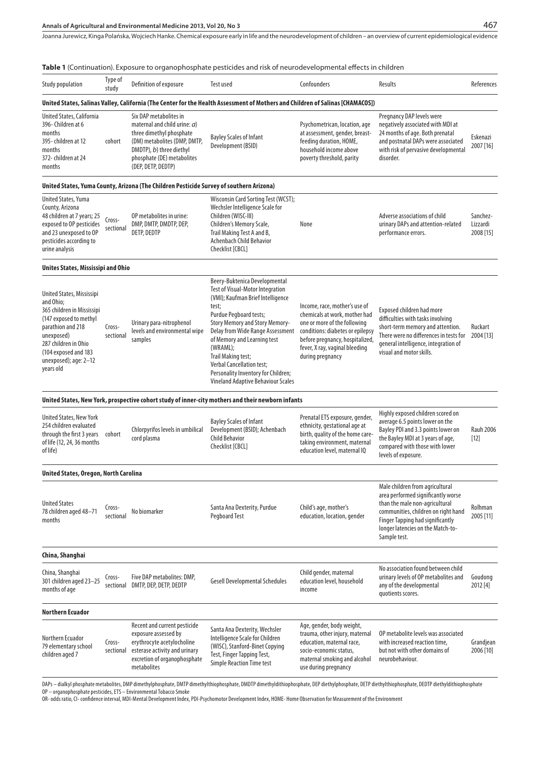## **Annals of Agricultural and Environmental Medicine 2013, Vol 20, No 3**

Joanna Jurewicz, Kinga Polańska, Wojciech Hanke . Chemical exposure early in life and the neurodevelopment of children – an overview of current epidemiological evidence

| <b>Study population</b>                                                                                                                                                                                                 | Type of<br>study    | Definition of exposure                                                                                                                                                                                | <b>Test used</b>                                                                                                                                                                                                                                                                                                                                                                                                | Confounders                                                                                                                                                                                                                 | Results                                                                                                                                                                                                                                        | References                        |
|-------------------------------------------------------------------------------------------------------------------------------------------------------------------------------------------------------------------------|---------------------|-------------------------------------------------------------------------------------------------------------------------------------------------------------------------------------------------------|-----------------------------------------------------------------------------------------------------------------------------------------------------------------------------------------------------------------------------------------------------------------------------------------------------------------------------------------------------------------------------------------------------------------|-----------------------------------------------------------------------------------------------------------------------------------------------------------------------------------------------------------------------------|------------------------------------------------------------------------------------------------------------------------------------------------------------------------------------------------------------------------------------------------|-----------------------------------|
|                                                                                                                                                                                                                         |                     |                                                                                                                                                                                                       | United States, Salinas Valley, California (The Center for the Health Assessment of Mothers and Children of Salinas [CHAMACOS])                                                                                                                                                                                                                                                                                  |                                                                                                                                                                                                                             |                                                                                                                                                                                                                                                |                                   |
| United States, California<br>396-Children at 6<br>months<br>395-children at 12<br>months<br>372-children at 24<br>months                                                                                                | cohort              | Six DAP metabolites in<br>maternal and child urine: $a$ )<br>three dimethyl phosphate<br>(DM) metabolites (DMP, DMTP,<br>DMDTP), b) three diethyl<br>phosphate (DE) metabolites<br>(DEP, DETP, DEDTP) | <b>Bayley Scales of Infant</b><br>Development (BSID)                                                                                                                                                                                                                                                                                                                                                            | Psychometrican, location, age<br>at assessment, gender, breast-<br>feeding duration, HOME,<br>household income above<br>poverty threshold, parity                                                                           | Pregnancy DAP levels were<br>negatively associated with MDI at<br>24 months of age. Both prenatal<br>and postnatal DAPs were associated<br>with risk of pervasive developmental<br>disorder.                                                   | Eskenazi<br>2007 [16]             |
|                                                                                                                                                                                                                         |                     | United States, Yuma County, Arizona (The Children Pesticide Survey of southern Arizona)                                                                                                               |                                                                                                                                                                                                                                                                                                                                                                                                                 |                                                                                                                                                                                                                             |                                                                                                                                                                                                                                                |                                   |
| United States, Yuma<br>County, Arizona<br>48 children at 7 years; 25<br>exposed to OP pesticides<br>and 23 unexposed to OP<br>pesticides according to<br>urine analysis                                                 | Cross-<br>sectional | OP metabolites in urine:<br>DMP, DMTP, DMDTP, DEP,<br>DETP, DEDTP                                                                                                                                     | Wisconsin Card Sorting Test (WCST);<br>Wechsler Intelligence Scale for<br>Children (WISC-III)<br>Children's Memory Scale,<br>Trail Making Test A and B,<br><b>Achenbach Child Behavior</b><br>Checklist [CBCL]                                                                                                                                                                                                  | None                                                                                                                                                                                                                        | Adverse associations of child<br>urinary DAPs and attention-related<br>performance errors.                                                                                                                                                     | Sanchez-<br>Lizzardi<br>2008 [15] |
| Unites States, Mississipi and Ohio                                                                                                                                                                                      |                     |                                                                                                                                                                                                       |                                                                                                                                                                                                                                                                                                                                                                                                                 |                                                                                                                                                                                                                             |                                                                                                                                                                                                                                                |                                   |
| United States, Mississipi<br>and Ohio:<br>365 children in Mississipi<br>(147 exposed to methyl<br>parathion and 218<br>unexposed)<br>287 children in Ohio<br>(104 exposed and 183<br>unexposed); age: 2-12<br>years old | Cross-<br>sectional | Urinary para-nitrophenol<br>levels and environmental wipe<br>samples                                                                                                                                  | Beery-Buktenica Developmental<br><b>Test of Visual-Motor Integration</b><br>(VMI); Kaufman Brief Intelligence<br>test;<br>Purdue Pegboard tests;<br><b>Story Memory and Story Memory-</b><br>Delay from Wide Range Assessment<br>of Memory and Learning test<br>(WRAML);<br>Trail Making test;<br><b>Verbal Cancellation test;</b><br>Personality Inventory for Children;<br>Vineland Adaptive Behaviour Scales | Income, race, mother's use of<br>chemicals at work, mother had<br>one or more of the following<br>conditions: diabetes or epilepsy<br>before pregnancy, hospitalized,<br>fever, X ray, vaginal bleeding<br>during pregnancy | <b>Exposed children had more</b><br>difficulties with tasks involving<br>short-term memory and attention.<br>There were no differences in tests for<br>general intelligence, integration of<br>visual and motor skills.                        | Ruckart<br>2004 [13]              |
|                                                                                                                                                                                                                         |                     |                                                                                                                                                                                                       | United States, New York, prospective cohort study of inner-city mothers and their newborn infants                                                                                                                                                                                                                                                                                                               |                                                                                                                                                                                                                             |                                                                                                                                                                                                                                                |                                   |
| United States, New York<br>254 children evaluated<br>through the first 3 years<br>of life (12, 24, 36 months<br>of life)                                                                                                | cohort              | Chlorpyrifos levels in umbilical<br>cord plasma                                                                                                                                                       | <b>Bayley Scales of Infant</b><br>Development (BSID); Achenbach<br><b>Child Behavior</b><br>Checklist [CBCL]                                                                                                                                                                                                                                                                                                    | Prenatal ETS exposure, gender,<br>ethnicity, gestational age at<br>birth, quality of the home care-<br>taking environment, maternal<br>education level, maternal IQ                                                         | Highly exposed children scored on<br>average 6.5 points lower on the<br>Bayley PDI and 3.3 points lower on<br>the Bayley MDI at 3 years of age,<br>compared with those with lower<br>levels of exposure.                                       | <b>Rauh 2006</b><br>$[12]$        |
| United States, Oregon, North Carolina                                                                                                                                                                                   |                     |                                                                                                                                                                                                       |                                                                                                                                                                                                                                                                                                                                                                                                                 |                                                                                                                                                                                                                             |                                                                                                                                                                                                                                                |                                   |
| <b>United States</b><br>78 children aged 48-71<br>months                                                                                                                                                                | Cross-<br>sectional | No biomarker                                                                                                                                                                                          | Santa Ana Dexterity, Purdue<br><b>Pegboard Test</b>                                                                                                                                                                                                                                                                                                                                                             | Child's age, mother's<br>education, location, gender                                                                                                                                                                        | Male children from agricultural<br>area performed significantly worse<br>than the male non-agricultural<br>communities, children on right hand<br><b>Finger Tapping had significantly</b><br>longer latencies on the Match-to-<br>Sample test. | Rolhman<br>2005 [11]              |
| China, Shanghai                                                                                                                                                                                                         |                     |                                                                                                                                                                                                       |                                                                                                                                                                                                                                                                                                                                                                                                                 |                                                                                                                                                                                                                             |                                                                                                                                                                                                                                                |                                   |
| China, Shanghai<br>301 children aged 23-25<br>months of age                                                                                                                                                             | Cross-<br>sectional | Five DAP metabolites: DMP,<br>DMTP, DEP, DETP, DEDTP                                                                                                                                                  | <b>Gesell Developmental Schedules</b>                                                                                                                                                                                                                                                                                                                                                                           | Child gender, maternal<br>education level, household<br>income                                                                                                                                                              | No association found between child<br>urinary levels of OP metabolites and<br>any of the developmental<br>quotients scores.                                                                                                                    | Goudong<br>2012 [4]               |
| <b>Northern Ecuador</b>                                                                                                                                                                                                 |                     |                                                                                                                                                                                                       |                                                                                                                                                                                                                                                                                                                                                                                                                 |                                                                                                                                                                                                                             |                                                                                                                                                                                                                                                |                                   |
| Northern Ecuador<br>79 elementary school<br>children aged 7                                                                                                                                                             | Cross-<br>sectional | Recent and current pesticide<br>exposure assessed by<br>erythrocyte acetylocholine<br>esterase activity and urinary<br>excretion of organophosphate<br>metabolites                                    | Santa Ana Dexterity, Wechsler<br>Intelligence Scale for Children<br>(WISC), Stanford-Binet Copying<br>Test, Finger Tapping Test,<br><b>Simple Reaction Time test</b>                                                                                                                                                                                                                                            | Age, gender, body weight,<br>trauma, other injury, maternal<br>education, maternal race,<br>socio-economic status,<br>maternal smoking and alcohol<br>use during pregnancy                                                  | OP metabolite levels was associated<br>with increased reaction time,<br>but not with other domains of<br>neurobehaviour.                                                                                                                       | Grandjean<br>2006 [10]            |

DAPs – dialkyl phosphate metabolites, DMP dimethylphosphate, DMTP dimethylthiophosphate, DMDTP dimethyldithiophosphate, DEP diethylphosphate, DETP diethylthiophosphate, DEDTP diethyldithiophosphate OP – organophosphate pesticides, ETS – Environmental Tobacco Smoke

OR- odds ratio, CI- confidence interval, MDI-Mental Development Index, PDI-Psychomotor Development Index, HOME- Home Observation for Measurement of the Environment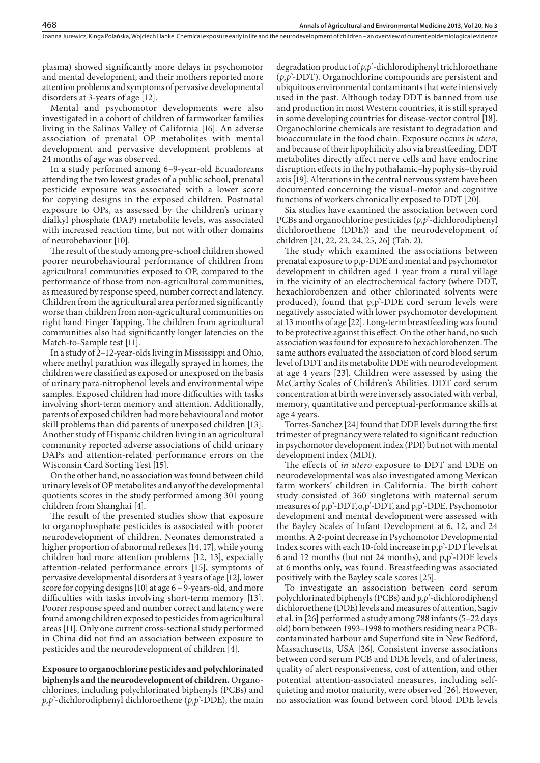plasma) showed significantly more delays in psychomotor and mental development, and their mothers reported more attention problems and symptoms of pervasive developmental disorders at 3-years of age [12].

Mental and psychomotor developments were also investigated in a cohort of children of farmworker families living in the Salinas Valley of California [16]. An adverse association of prenatal OP metabolites with mental development and pervasive development problems at 24 months of age was observed.

In a study performed among 6–9-year-old Ecuadoreans attending the two lowest grades of a public school, prenatal pesticide exposure was associated with a lower score for copying designs in the exposed children. Postnatal exposure to OPs, as assessed by the children's urinary dialkyl phosphate (DAP) metabolite levels, was associated with increased reaction time, but not with other domains of neurobehaviour [10].

The result of the study among pre-school children showed poorer neurobehavioural performance of children from agricultural communities exposed to OP, compared to the performance of those from non-agricultural communities, as measured by response speed, number correct and latency. Children from the agricultural area performed significantly worse than children from non-agricultural communities on right hand Finger Tapping. The children from agricultural communities also had significantly longer latencies on the Match-to-Sample test [11].

In a study of 2–12-year-olds living in Mississippi and Ohio, where methyl parathion was illegally sprayed in homes, the children were classified as exposed or unexposed on the basis of urinary para-nitrophenol levels and environmental wipe samples. Exposed children had more difficulties with tasks involving short-term memory and attention. Additionally, parents of exposed children had more behavioural and motor skill problems than did parents of unexposed children [13]. Another study of Hispanic children living in an agricultural community reported adverse associations of child urinary DAPs and attention-related performance errors on the Wisconsin Card Sorting Test [15].

On the other hand, no association was found between child urinary levels of OP metabolites and any of the developmental quotients scores in the study performed among 301 young children from Shanghai [4].

The result of the presented studies show that exposure to organophosphate pesticides is associated with poorer neurodevelopment of children. Neonates demonstrated a higher proportion of abnormal reflexes [14, 17], while young children had more attention problems [12, 13], especially attention-related performance errors [15], symptoms of pervasive developmental disorders at 3 years of age [12], lower score for copying designs [10] at age 6 – 9-years-old, and more difficulties with tasks involving short-term memory [13]. Poorer response speed and number correct and latency were found among children exposed to pesticides from agricultural areas [11]. Only one current cross-sectional study performed in China did not find an association between exposure to pesticides and the neurodevelopment of children [4].

**Exposure to organochlorine pesticides and polychlorinated biphenyls and the neurodevelopment of children.** Organochlorines, including polychlorinated biphenyls (PCBs) and *p,p*'-dichlorodiphenyl dichloroethene (*p,p*'-DDE), the main

degradation product of *p,p*'-dichlorodiphenyl trichloroethane (*p,p*'-DDT). Organochlorine compounds are persistent and ubiquitous environmental contaminants that were intensively used in the past. Although today DDT is banned from use and production in most Western countries, it is still sprayed in some developing countries for disease-vector control [18]. Organochlorine chemicals are resistant to degradation and bioaccumulate in the food chain. Exposure occurs *in utero,* and because of their lipophilicity also via breastfeeding. DDT metabolites directly affect nerve cells and have endocrine disruption effects in the hypothalamic–hypophysis–thyroid axis [19]. Alterations in the central nervous system have been documented concerning the visual–motor and cognitive functions of workers chronically exposed to DDT [20].

Six studies have examined the association between cord PCBs and organochlorine pesticides (*p,p*'-dichlorodiphenyl dichloroethene (DDE)) and the neurodevelopment of children [21, 22, 23, 24, 25, 26] (Tab. 2).

The study which examined the associations between prenatal exposure to p,p-DDE and mental and psychomotor development in children aged 1 year from a rural village in the vicinity of an electrochemical factory (where DDT, hexachlorobenzen and other chlorinated solvents were produced), found that p,p'-DDE cord serum levels were negatively associated with lower psychomotor development at 13 months of age [22]. Long-term breastfeeding was found to be protective against this effect. On the other hand, no such association was found for exposure to hexachlorobenzen. The same authors evaluated the association of cord blood serum level of DDT and its metabolite DDE with neurodevelopment at age 4 years [23]. Children were assessed by using the McCarthy Scales of Children's Abilities. DDT cord serum concentration at birth were inversely associated with verbal, memory, quantitative and perceptual-performance skills at age 4 years.

Torres-Sanchez [24] found that DDE levels during the first trimester of pregnancy were related to significant reduction in psychomotor development index (PDI) but not with mental development index (MDI).

The effects of *in utero* exposure to DDT and DDE on neurodevelopmental was also investigated among Mexican farm workers' children in California. The birth cohort study consisted of 360 singletons with maternal serum measures of p,p'-DDT,o,p'-DDT, and p,p'-DDE. Psychomotor development and mental development were assessed with the Bayley Scales of Infant Development at 6, 12, and 24 months. A 2-point decrease in Psychomotor Developmental Index scores with each 10-fold increase in p,p'-DDT levels at 6 and 12 months (but not 24 months), and p,p'-DDE levels at 6 months only, was found. Breastfeeding was associated positively with the Bayley scale scores [25].

To investigate an association between cord serum polychlorinated biphenyls (PCBs) and *p,p*'-dichlorodiphenyl dichloroethene (DDE) levels and measures of attention, Sagiv et al. in [26] performed a study among 788 infants (5–22 days old) born between 1993–1998 to mothers residing near a PCBcontaminated harbour and Superfund site in New Bedford, Massachusetts, USA [26]. Consistent inverse associations between cord serum PCB and DDE levels, and of alertness, quality of alert responsiveness, cost of attention, and other potential attention-associated measures, including selfquieting and motor maturity, were observed [26]. However, no association was found between cord blood DDE levels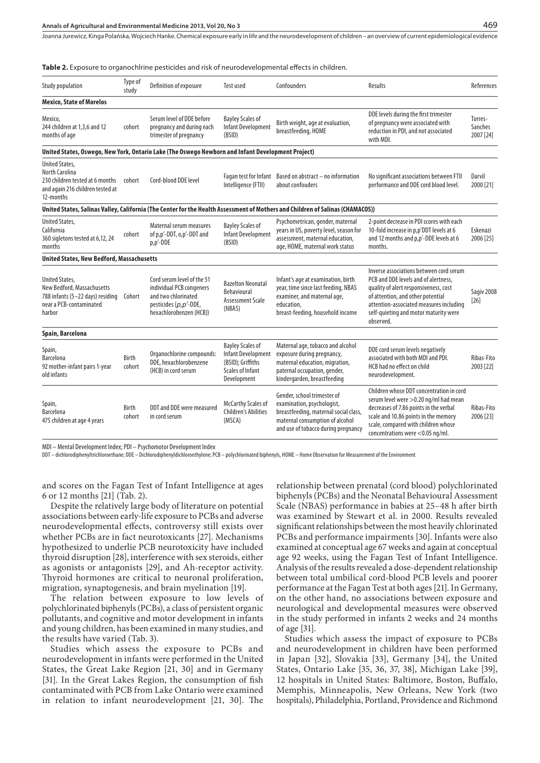#### **Annals of Agricultural and Environmental Medicine 2013, Vol 20, No 3**

Joanna Jurewicz, Kinga Polańska, Wojciech Hanke . Chemical exposure early in life and the neurodevelopment of children – an overview of current epidemiological evidence

**Table 2.** Exposure to organochlrine pesticides and risk of neurodevelopmental effects in children.

| Study population                                                                                                             | Type of<br>study | Definition of exposure                                                                                                            | Test used                                                                                             | Confounders                                                                                                                                                                  | Results                                                                                                                                                                                                                                                        | References                      |
|------------------------------------------------------------------------------------------------------------------------------|------------------|-----------------------------------------------------------------------------------------------------------------------------------|-------------------------------------------------------------------------------------------------------|------------------------------------------------------------------------------------------------------------------------------------------------------------------------------|----------------------------------------------------------------------------------------------------------------------------------------------------------------------------------------------------------------------------------------------------------------|---------------------------------|
| <b>Mexico, State of Morelos</b>                                                                                              |                  |                                                                                                                                   |                                                                                                       |                                                                                                                                                                              |                                                                                                                                                                                                                                                                |                                 |
| Mexico,<br>244 children at 1,3,6 and 12<br>months of age                                                                     | cohort           | Serum level of DDE before<br>pregnancy and during each<br>trimester of pregnancy                                                  | <b>Bayley Scales of</b><br>Infant Development<br>(BSID)                                               | Birth weight, age at evaluation,<br>breastfeeding, HOME                                                                                                                      | DDE levels during the first trimester<br>of pregnancy were associated with<br>reduction in PDI, and not associated<br>with MDI.                                                                                                                                | Torres-<br>Sanches<br>2007 [24] |
| United States, Oswego, New York, Ontario Lake (The Oswego Newborn and Infant Development Project)                            |                  |                                                                                                                                   |                                                                                                       |                                                                                                                                                                              |                                                                                                                                                                                                                                                                |                                 |
| <b>United States,</b><br>North Carolina<br>230 children tested at 6 months<br>and again 216 children tested at<br>12-months  | cohort           | Cord-blood DDE level                                                                                                              | Intelligence (FTII)                                                                                   | Fagan test for Infant Based on abstract - no information<br>about confouders                                                                                                 | No significant associations between FTII<br>performance and DDE cord blood level.                                                                                                                                                                              | Darvil<br>2000 [21]             |
|                                                                                                                              |                  |                                                                                                                                   |                                                                                                       | United States, Salinas Valley, California (The Center for the Health Assessment of Mothers and Children of Salinas (CHAMACOS))                                               |                                                                                                                                                                                                                                                                |                                 |
| <b>United States,</b><br>California<br>360 sigletons tested at 6,12, 24<br>months                                            | cohort           | Maternal serum measures<br>of p,p'-DDT, o,p'-DDT and<br>p,p'-DDE                                                                  | <b>Bayley Scales of</b><br><b>Infant Development</b><br>(BSID)                                        | Psychometrican, gender, maternal<br>years in US, poverty level, season for<br>assessment, maternal education,<br>age, HOME, maternal work status                             | 2-point decrease in PDI scores with each<br>10-fold increase in p,p'DDT levels at 6<br>and 12 months and p,p'-DDE levels at 6<br>months.                                                                                                                       | Eskenazi<br>2006 [25]           |
| <b>United States, New Bedford, Massachusetts</b>                                                                             |                  |                                                                                                                                   |                                                                                                       |                                                                                                                                                                              |                                                                                                                                                                                                                                                                |                                 |
| <b>United States,</b><br>New Bedford, Massachusetts<br>788 infants (5-22 days) residing<br>near a PCB-contaminated<br>harbor | Cohort           | Cord serum level of the 51<br>individual PCB congeners<br>and two chlorinated<br>pesticides (p,p'-DDE,<br>hexachlorobenzen (HCB)) | <b>Bazelton Neonatal</b><br>Behavioural<br><b>Assessment Scale</b><br>(NBAS)                          | Infant's age at examination, birth<br>year, time since last feeding, NBAS<br>examiner, and maternal age,<br>education,<br>breast-feeding, household income                   | Inverse associations between cord serum<br>PCB and DDE levels and of alertness.<br>quality of alert responsiveness, cost<br>of attention, and other potential<br>attention-associated measures including<br>self-quieting and motor maturity were<br>observed. | Sagiv 2008<br>$[26]$            |
| Spain, Barcelona                                                                                                             |                  |                                                                                                                                   |                                                                                                       |                                                                                                                                                                              |                                                                                                                                                                                                                                                                |                                 |
| Spain,<br>Barcelona<br>92 mother-infant pairs 1-year<br>old infants                                                          | Birth<br>cohort  | Organochlorine compounds:<br>DDE, hexachlorobenzene<br>(HCB) in cord serum                                                        | <b>Bayley Scales of</b><br>Infant Development<br>(BSID); Griffiths<br>Scales of Infant<br>Development | Maternal age, tobacco and alcohol<br>exposure during pregnancy,<br>maternal education, migration,<br>paternal occupation, gender,<br>kindergarden, breastfeeding             | DDE cord serum levels negatively<br>associated with both MDI and PDI.<br>HCB had no effect on child<br>neurodevelopment.                                                                                                                                       | Ribas-Fito<br>2003 [22]         |
| Spain,<br><b>Barcelona</b><br>475 children at age 4 years                                                                    | Birth<br>cohort  | DDT and DDE were measured<br>in cord serum                                                                                        | McCarthy Scales of<br><b>Children's Abilities</b><br>(MSCA)                                           | Gender, school trimester of<br>examination, psychologist,<br>breastfeeding, maternal social class,<br>maternal consumption of alcohol<br>and use of tobacco during pregnancy | Children whose DDT concentration in cord<br>serum level were > 0.20 ng/ml had mean<br>decreases of 7.86 points in the verbal<br>scale and 10.86 points in the memory<br>scale, compared with children whose<br>concentrations were <0.05 ng/ml.                | Ribas-Fito<br>2006 [23]         |

MDI – Mental Development Index; PDI – Psychomotor Development Index

DDT – dichlorodiphenyltrichloroethane; DDE – Dichlorodiphenyldichloroethylene; PCB – polychlorinated biphenyls, HOME – Home Observation for Measurement of the Environment

and scores on the Fagan Test of Infant Intelligence at ages 6 or 12 months [21] (Tab. 2).

Despite the relatively large body of literature on potential associations between early-life exposure to PCBs and adverse neurodevelopmental effects, controversy still exists over whether PCBs are in fact neurotoxicants [27]. Mechanisms hypothesized to underlie PCB neurotoxicity have included thyroid disruption [28], interference with sex steroids, either as agonists or antagonists [29], and Ah-receptor activity. Thyroid hormones are critical to neuronal proliferation, migration, synaptogenesis, and brain myelination [19].

The relation between exposure to low levels of polychlorinated biphenyls (PCBs), a class of persistent organic pollutants, and cognitive and motor development in infants and young children, has been examined in many studies, and the results have varied (Tab. 3).

Studies which assess the exposure to PCBs and neurodevelopment in infants were performed in the United States, the Great Lake Region [21, 30] and in Germany [31]. In the Great Lakes Region, the consumption of fish contaminated with PCB from Lake Ontario were examined in relation to infant neurodevelopment [21, 30]. The relationship between prenatal (cord blood) polychlorinated biphenyls (PCBs) and the Neonatal Behavioural Assessment Scale (NBAS) performance in babies at 25–48 h after birth was examined by Stewart et al. in 2000. Results revealed significant relationships between the most heavily chlorinated PCBs and performance impairments [30]. Infants were also examined at conceptual age 67 weeks and again at conceptual age 92 weeks, using the Fagan Test of Infant Intelligence. Analysis of the results revealed a dose-dependent relationship between total umbilical cord-blood PCB levels and poorer performance at the Fagan Test at both ages [21]. In Germany, on the other hand, no associations between exposure and neurological and developmental measures were observed in the study performed in infants 2 weeks and 24 months of age [31].

Studies which assess the impact of exposure to PCBs and neurodevelopment in children have been performed in Japan [32], Slovakia [33], Germany [34], the United States, Ontario Lake [35, 36, 37, 38], Michigan Lake [39], 12 hospitals in United States: Baltimore, Boston, Buffalo, Memphis, Minneapolis, New Orleans, New York (two hospitals), Philadelphia, Portland, Providence and Richmond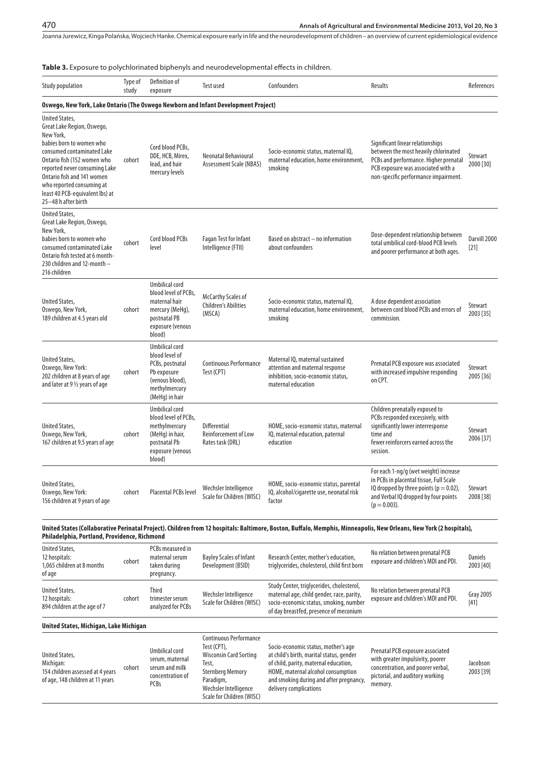**Table 3.** Exposure to polychlorinated biphenyls and neurodevelopmental effects in children.

| <b>Study population</b>                                                                                                                                                                                                                                                                                         | Type of<br>study | Definition of<br>exposure                                                                                                       | <b>Test used</b>                                            | Confounders                                                                                                                    | Results                                                                                                                                                                                         | References             |
|-----------------------------------------------------------------------------------------------------------------------------------------------------------------------------------------------------------------------------------------------------------------------------------------------------------------|------------------|---------------------------------------------------------------------------------------------------------------------------------|-------------------------------------------------------------|--------------------------------------------------------------------------------------------------------------------------------|-------------------------------------------------------------------------------------------------------------------------------------------------------------------------------------------------|------------------------|
| Oswego, New York, Lake Ontario (The Oswego Newborn and Infant Development Project)                                                                                                                                                                                                                              |                  |                                                                                                                                 |                                                             |                                                                                                                                |                                                                                                                                                                                                 |                        |
| <b>United States,</b><br>Great Lake Region, Oswego,<br>New York,<br>babies born to women who<br>consumed contaminated Lake<br>Ontario fish (152 women who<br>reported never consuming Lake<br>Ontario fish and 141 women<br>who reported consuming at<br>least 40 PCB-equivalent lbs) at<br>25-48 h after birth | cohort           | Cord blood PCBs,<br>DDE, HCB, Mirex,<br>lead, and hair<br>mercury levels                                                        | Neonatal Behavioural<br>Assessment Scale (NBAS)             | Socio-economic status, maternal IQ,<br>maternal education, home environment,<br>smoking                                        | Significant linear relationships<br>between the most heavily chlorinated<br>PCBs and performance. Higher prenatal<br>PCB exposure was associated with a<br>non-specific performance impairment. | Stewart<br>2000 [30]   |
| United States,<br>Great Lake Region, Oswego,<br>New York,<br>babies born to women who<br>consumed contaminated Lake<br>Ontario fish tested at 6 month-<br>230 children and 12-month -<br>216 children                                                                                                           | cohort           | Cord blood PCBs<br>level                                                                                                        | <b>Fagan Test for Infant</b><br>Intelligence (FTII)         | Based on abstract - no information<br>about confounders                                                                        | Dose-dependent relationship between<br>total umbilical cord-blood PCB levels<br>and poorer performance at both ages.                                                                            | Darvill 2000<br>$[21]$ |
| United States,<br>Oswego, New York,<br>189 children at 4.5 years old                                                                                                                                                                                                                                            | cohort           | <b>Umbilical cord</b><br>blood level of PCBs,<br>maternal hair<br>mercury (MeHq),<br>postnatal PB<br>exposure (venous<br>blood) | McCarthy Scales of<br><b>Children's Abilities</b><br>(MSCA) | Socio-economic status, maternal IQ,<br>maternal education, home environment,<br>smoking                                        | A dose dependent association<br>between cord blood PCBs and errors of<br>commission.                                                                                                            | Stewart<br>2003 [35]   |
| United States,<br>Oswego, New York:<br>202 children at 8 years of age<br>and later at 9 1/2 years of age                                                                                                                                                                                                        | cohort           | <b>Umbilical cord</b><br>blood level of<br>PCBs, postnatal<br>Pb exposure<br>(venous blood),<br>methylmercury<br>(MeHg) in hair | <b>Continuous Performance</b><br>Test (CPT)                 | Maternal IQ, maternal sustained<br>attention and maternal response<br>inhibition, socio-economic status,<br>maternal education | Prenatal PCB exposure was associated<br>with increased impulsive responding<br>on CPT.                                                                                                          | Stewart<br>2005 [36]   |
| United States,<br>Oswego, New York,<br>167 children at 9.5 years of age                                                                                                                                                                                                                                         | cohort           | <b>Umbilical cord</b><br>blood level of PCBs.<br>methylmercury<br>(MeHq) in hair,<br>postnatal Pb<br>exposure (venous<br>blood) | Differential<br>Reinforcement of Low<br>Rates task (DRL)    | HOME, socio-economic status, maternal<br>IQ, maternal education, paternal<br>education                                         | Children prenatally exposed to<br>PCBs responded excessively, with<br>significantly lower interresponse<br>time and<br>fewer reinforcers earned across the<br>session.                          | Stewart<br>2006 [37]   |
| United States,<br>Oswego, New York:<br>156 children at 9 years of age                                                                                                                                                                                                                                           | cohort           | Placental PCBs level                                                                                                            | Wechsler Intelligence<br>Scale for Children (WISC)          | HOME, socio-economic status, parental<br>IQ, alcohol/cigarette use, neonatal risk<br>factor                                    | For each 1-ng/g (wet weight) increase<br>in PCBs in placental tissue, Full Scale<br>IQ dropped by three points ( $p = 0.02$ ),<br>and Verbal IQ dropped by four points<br>$(p = 0.003)$ .       | Stewart<br>2008 [38]   |

#### **United States (Collaborative Perinatal Project). Children from 12 hospitals: Baltimore, Boston, Buffalo, Memphis, Minneapolis, New Orleans, New York (2 hospitals), Philadelphia, Portland, Providence, Richmond**

| United States,<br>12 hospitals:<br>1,065 children at 8 months<br>of age | cohort | PCBs measured in<br>maternal serum<br>taken during<br>pregnancy. | <b>Bayley Scales of Infant</b><br>Development (BSID) | Research Center, mother's education,<br>triglycerides, cholesterol, child first born                                                                                       | No relation between prenatal PCB<br>exposure and children's MDI and PDI. | <b>Daniels</b><br>2003 [40] |
|-------------------------------------------------------------------------|--------|------------------------------------------------------------------|------------------------------------------------------|----------------------------------------------------------------------------------------------------------------------------------------------------------------------------|--------------------------------------------------------------------------|-----------------------------|
| United States,<br>12 hospitals:<br>894 children at the age of 7         | cohort | Third<br>trimester serum<br>analyzed for PCBs                    | Wechsler Intelligence<br>Scale for Children (WISC)   | Study Center, triglycerides, cholesterol,<br>maternal age, child gender, race, parity,<br>socio-economic status, smoking, number<br>of day breastfed, presence of meconium | No relation between prenatal PCB<br>exposure and children's MDI and PDI. | <b>Gray 2005</b><br>$[41]$  |
| United States, Michigan, Lake Michigan                                  |        |                                                                  |                                                      |                                                                                                                                                                            |                                                                          |                             |

| United States,<br>Michigan:<br>154 children assessed at 4 years<br>of age, 148 children at 11 years | cohort | Umbilical cord<br>serum, maternal<br>serum and milk<br>concentration of<br><b>PCBs</b> | Continuous Performance<br>Test (CPT),<br><b>Wisconsin Card Sorting</b><br>Test.<br><b>Sternberg Memory</b><br>Paradigm,<br>Wechsler Intelligence<br>Scale for Children (WISC) | Socio-economic status, mother's age<br>at child's birth, marital status, gender<br>of child, parity, maternal education,<br>HOME, maternal alcohol consumption<br>and smoking during and after pregnancy,<br>delivery complications | Prenatal PCB exposure associated<br>with greater impulsivity, poorer<br>concentration, and poorer verbal,<br>pictorial, and auditory working<br>memory. | Jacobson<br>2003 [39] |
|-----------------------------------------------------------------------------------------------------|--------|----------------------------------------------------------------------------------------|-------------------------------------------------------------------------------------------------------------------------------------------------------------------------------|-------------------------------------------------------------------------------------------------------------------------------------------------------------------------------------------------------------------------------------|---------------------------------------------------------------------------------------------------------------------------------------------------------|-----------------------|
|-----------------------------------------------------------------------------------------------------|--------|----------------------------------------------------------------------------------------|-------------------------------------------------------------------------------------------------------------------------------------------------------------------------------|-------------------------------------------------------------------------------------------------------------------------------------------------------------------------------------------------------------------------------------|---------------------------------------------------------------------------------------------------------------------------------------------------------|-----------------------|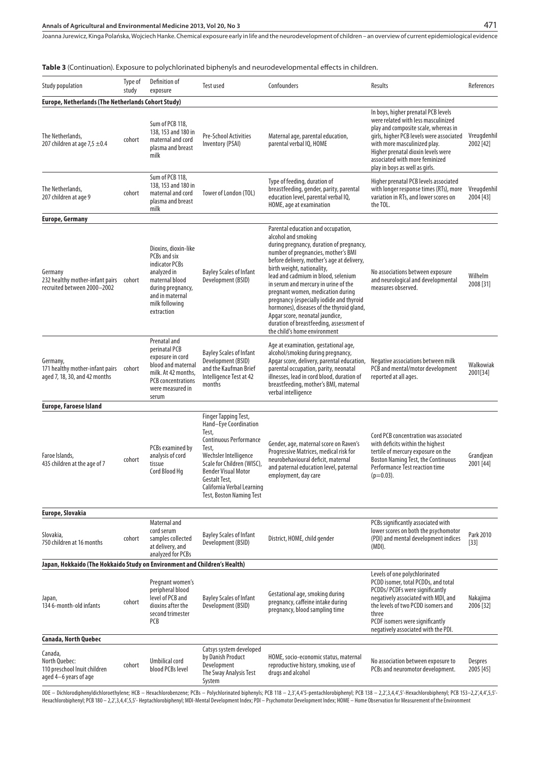**Table 3** (Continuation). Exposure to polychlorinated biphenyls and neurodevelopmental effects in children.

| <b>Europe, Netherlands (The Netherlands Cohort Study)</b><br>In boys, higher prenatal PCB levels<br>were related with less masculinized<br>Sum of PCB 118,<br>play and composite scale, whereas in<br>138, 153 and 180 in<br>The Netherlands,<br>Pre-School Activities<br>Maternal age, parental education,<br>girls, higher PCB levels were associated<br>maternal and cord<br>cohort<br>207 children at age $7.5 \pm 0.4$<br>Inventory (PSAI)<br>parental verbal IQ, HOME<br>with more masculinized play.<br>plasma and breast<br>Higher prenatal dioxin levels were<br>milk<br>associated with more feminized<br>play in boys as well as girls.<br>Sum of PCB 118,<br>Type of feeding, duration of<br>Higher prenatal PCB levels associated<br>138, 153 and 180 in<br>breastfeeding, gender, parity, parental<br>with longer response times (RTs), more<br>The Netherlands,<br>maternal and cord<br>Tower of London (TOL)<br>cohort<br>education level, parental verbal IQ,<br>207 children at age 9<br>variation in RTs, and lower scores on<br>plasma and breast<br>HOME, age at examination<br>the TOL.<br>milk<br><b>Europe, Germany</b><br>Parental education and occupation,<br>alcohol and smoking<br>during pregnancy, duration of pregnancy,<br>Dioxins, dioxin-like<br>number of pregnancies, mother's BMI<br>PCBs and six<br>before delivery, mother's age at delivery,<br>indicator PCBs<br>birth weight, nationality,<br><b>Bayley Scales of Infant</b><br>Germany<br>analyzed in<br>No associations between exposure<br>lead and cadmium in blood, selenium<br>Development (BSID)<br>and neurological and developmental<br>232 healthy mother-infant pairs cohort<br>maternal blood<br>in serum and mercury in urine of the<br>recruited between 2000-2002<br>measures observed.<br>during pregnancy,<br>pregnant women, medication during | References               |
|-------------------------------------------------------------------------------------------------------------------------------------------------------------------------------------------------------------------------------------------------------------------------------------------------------------------------------------------------------------------------------------------------------------------------------------------------------------------------------------------------------------------------------------------------------------------------------------------------------------------------------------------------------------------------------------------------------------------------------------------------------------------------------------------------------------------------------------------------------------------------------------------------------------------------------------------------------------------------------------------------------------------------------------------------------------------------------------------------------------------------------------------------------------------------------------------------------------------------------------------------------------------------------------------------------------------------------------------------------------------------------------------------------------------------------------------------------------------------------------------------------------------------------------------------------------------------------------------------------------------------------------------------------------------------------------------------------------------------------------------------------------------------------------------------------------------------------------------------------------|--------------------------|
|                                                                                                                                                                                                                                                                                                                                                                                                                                                                                                                                                                                                                                                                                                                                                                                                                                                                                                                                                                                                                                                                                                                                                                                                                                                                                                                                                                                                                                                                                                                                                                                                                                                                                                                                                                                                                                                             |                          |
|                                                                                                                                                                                                                                                                                                                                                                                                                                                                                                                                                                                                                                                                                                                                                                                                                                                                                                                                                                                                                                                                                                                                                                                                                                                                                                                                                                                                                                                                                                                                                                                                                                                                                                                                                                                                                                                             | Vreugdenhil<br>2002 [42] |
|                                                                                                                                                                                                                                                                                                                                                                                                                                                                                                                                                                                                                                                                                                                                                                                                                                                                                                                                                                                                                                                                                                                                                                                                                                                                                                                                                                                                                                                                                                                                                                                                                                                                                                                                                                                                                                                             | Vreugdenhil<br>2004 [43] |
|                                                                                                                                                                                                                                                                                                                                                                                                                                                                                                                                                                                                                                                                                                                                                                                                                                                                                                                                                                                                                                                                                                                                                                                                                                                                                                                                                                                                                                                                                                                                                                                                                                                                                                                                                                                                                                                             |                          |
| and in maternal<br>pregnancy (especially iodide and thyroid<br>milk following<br>hormones), diseases of the thyroid gland,<br>extraction<br>Apgar score, neonatal jaundice,<br>duration of breastfeeding, assessment of<br>the child's home environment                                                                                                                                                                                                                                                                                                                                                                                                                                                                                                                                                                                                                                                                                                                                                                                                                                                                                                                                                                                                                                                                                                                                                                                                                                                                                                                                                                                                                                                                                                                                                                                                     | Wilhelm<br>2008 [31]     |
| Prenatal and<br>Age at examination, gestational age,<br>perinatal PCB<br><b>Bayley Scales of Infant</b><br>alcohol/smoking during pregnancy,<br>exposure in cord<br>Apgar score, delivery, parental education,<br>Development (BSID)<br>Negative associations between milk<br>Germany,<br>blood and maternal<br>and the Kaufman Brief<br>parental occupation, parity, neonatal<br>PCB and mental/motor development<br>171 healthy mother-infant pairs cohort<br>milk. At 42 months,<br>aged 7, 18, 30, and 42 months<br>illnesses, lead in cord blood, duration of<br>reported at all ages.<br>Intelligence Test at 42<br>PCB concentrations<br>breastfeeding, mother's BMI, maternal<br>months<br>were measured in<br>verbal intelligence<br>serum                                                                                                                                                                                                                                                                                                                                                                                                                                                                                                                                                                                                                                                                                                                                                                                                                                                                                                                                                                                                                                                                                                         | Walkowiak<br>2001[34]    |
| <b>Europe, Faroese Island</b>                                                                                                                                                                                                                                                                                                                                                                                                                                                                                                                                                                                                                                                                                                                                                                                                                                                                                                                                                                                                                                                                                                                                                                                                                                                                                                                                                                                                                                                                                                                                                                                                                                                                                                                                                                                                                               |                          |
| Finger Tapping Test,<br>Hand-Eye Coordination<br>Test,<br>Cord PCB concentration was associated<br>Continuous Performance<br>Gender, age, maternal score on Raven's<br>with deficits within the highest<br>PCBs examined by<br>Test,<br>Progressive Matrices, medical risk for<br>tertile of mercury exposure on the<br>analysis of cord<br>Wechsler Intelligence<br>Faroe Islands,<br>neurobehavioural deficit, maternal<br><b>Boston Naming Test, the Continuous</b><br>cohort<br>435 children at the age of 7<br>tissue<br>Scale for Children (WISC),<br>and paternal education level, paternal<br>Performance Test reaction time<br>Cord Blood Hg<br><b>Bender Visual Motor</b><br>employment, day care<br>$(p=0.03)$ .<br>Gestalt Test,<br>California Verbal Learning<br>Test, Boston Naming Test                                                                                                                                                                                                                                                                                                                                                                                                                                                                                                                                                                                                                                                                                                                                                                                                                                                                                                                                                                                                                                                      | Grandjean<br>2001 [44]   |
| Europe, Slovakia                                                                                                                                                                                                                                                                                                                                                                                                                                                                                                                                                                                                                                                                                                                                                                                                                                                                                                                                                                                                                                                                                                                                                                                                                                                                                                                                                                                                                                                                                                                                                                                                                                                                                                                                                                                                                                            |                          |
| Maternal and<br>PCBs significantly associated with<br>cord serum<br>lower scores on both the psychomotor<br>Slovakia,<br><b>Bayley Scales of Infant</b><br>District, HOME, child gender<br>(PDI) and mental development indices<br>cohort<br>samples collected<br>750 children at 16 months<br>Development (BSID)<br>at delivery, and<br>(MDI).<br>analyzed for PCBs                                                                                                                                                                                                                                                                                                                                                                                                                                                                                                                                                                                                                                                                                                                                                                                                                                                                                                                                                                                                                                                                                                                                                                                                                                                                                                                                                                                                                                                                                        | Park 2010<br>$[33]$      |
| Japan, Hokkaido (The Hokkaido Study on Environment and Children's Health)                                                                                                                                                                                                                                                                                                                                                                                                                                                                                                                                                                                                                                                                                                                                                                                                                                                                                                                                                                                                                                                                                                                                                                                                                                                                                                                                                                                                                                                                                                                                                                                                                                                                                                                                                                                   |                          |
| Levels of one polychlorinated<br>PCDD isomer, total PCDDs, and total<br>Pregnant women's<br>peripheral blood<br>PCDDs/ PCDFs were significantly<br>Gestational age, smoking during<br>level of PCB and<br>negatively associated with MDI, and<br><b>Bayley Scales of Infant</b><br>Japan,<br>pregnancy, caffeine intake during<br>cohort<br>dioxins after the<br>the levels of two PCDD isomers and<br>134 6-month-old infants<br>Development (BSID)<br>pregnancy, blood sampling time<br>second trimester<br>three<br>PCB<br>PCDF isomers were significantly<br>negatively associated with the PDI.                                                                                                                                                                                                                                                                                                                                                                                                                                                                                                                                                                                                                                                                                                                                                                                                                                                                                                                                                                                                                                                                                                                                                                                                                                                        | Nakajima<br>2006 [32]    |
| Canada, North Quebec                                                                                                                                                                                                                                                                                                                                                                                                                                                                                                                                                                                                                                                                                                                                                                                                                                                                                                                                                                                                                                                                                                                                                                                                                                                                                                                                                                                                                                                                                                                                                                                                                                                                                                                                                                                                                                        |                          |
| Catsys system developed<br>Canada,<br>by Danish Product<br>HOME, socio-economic status, maternal<br>No association between exposure to<br>North Ouebec:<br>Umbilical cord<br>Development<br>reproductive history, smoking, use of<br>cohort<br>blood PCBs level<br>PCBs and neuromotor development.<br>110 preschool Inuit children<br>The Sway Analysis Test<br>drugs and alcohol<br>aged 4–6 years of age<br>System                                                                                                                                                                                                                                                                                                                                                                                                                                                                                                                                                                                                                                                                                                                                                                                                                                                                                                                                                                                                                                                                                                                                                                                                                                                                                                                                                                                                                                       | Despres<br>2005 [45]     |

DDE — Dichlorodiphenyldichloroethylene; HCB — Hexachlorobenzene; PCBs — Polychlorinated biphenyls; PCB 118 — 2,3/4,4'5-pentachlorobiphenyl; PCB 138 — 2,2',3,4,4',5'-Hexachlorobiphenyl; PCB 153—2,2',4,4',5,5'-<br>Hexachlorobip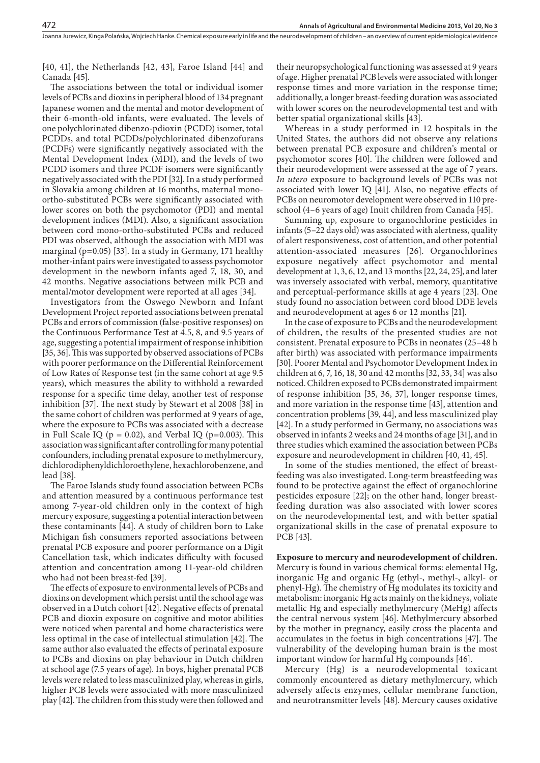[40, 41], the Netherlands [42, 43], Faroe Island [44] and Canada [45].

The associations between the total or individual isomer levels of PCBs and dioxins in peripheral blood of 134 pregnant Japanese women and the mental and motor development of their 6-month-old infants, were evaluated. The levels of one polychlorinated dibenzo-pdioxin (PCDD) isomer, total PCDDs, and total PCDDs/polychlorinated dibenzofurans (PCDFs) were significantly negatively associated with the Mental Development Index (MDI), and the levels of two PCDD isomers and three PCDF isomers were significantly negatively associated with the PDI [32]. In a study performed in Slovakia among children at 16 months, maternal monoortho-substituted PCBs were significantly associated with lower scores on both the psychomotor (PDI) and mental development indices (MDI). Also, a significant association between cord mono-ortho-substituted PCBs and reduced PDI was observed, although the association with MDI was marginal (p=0.05) [33]. In a study in Germany, 171 healthy mother-infant pairs were investigated to assess psychomotor development in the newborn infants aged 7, 18, 30, and 42 months. Negative associations between milk PCB and mental/motor development were reported at all ages [34].

Investigators from the Oswego Newborn and Infant Development Project reported associations between prenatal PCBs and errors of commission (false-positive responses) on the Continuous Performance Test at 4.5, 8, and 9.5 years of age, suggesting a potential impairment of response inhibition [35, 36]. This was supported by observed associations of PCBs with poorer performance on the Differential Reinforcement of Low Rates of Response test (in the same cohort at age 9.5 years), which measures the ability to withhold a rewarded response for a specific time delay, another test of response inhibition [37]. The next study by Stewart et al 2008 [38] in the same cohort of children was performed at 9 years of age, where the exposure to PCBs was associated with a decrease in Full Scale IQ ( $p = 0.02$ ), and Verbal IQ ( $p=0.003$ ). This association was significant after controlling for many potential confounders, including prenatal exposure to methylmercury, dichlorodiphenyldichloroethylene, hexachlorobenzene, and lead [38].

The Faroe Islands study found association between PCBs and attention measured by a continuous performance test among 7-year-old children only in the context of high mercury exposure, suggesting a potential interaction between these contaminants [44]. A study of children born to Lake Michigan fish consumers reported associations between prenatal PCB exposure and poorer performance on a Digit Cancellation task, which indicates difficulty with focused attention and concentration among 11-year-old children who had not been breast-fed [39].

The effects of exposure to environmental levels of PCBs and dioxins on development which persist until the school age was observed in a Dutch cohort [42]. Negative effects of prenatal PCB and dioxin exposure on cognitive and motor abilities were noticed when parental and home characteristics were less optimal in the case of intellectual stimulation [42]. The same author also evaluated the effects of perinatal exposure to PCBs and dioxins on play behaviour in Dutch children at school age (7.5 years of age). In boys, higher prenatal PCB levels were related to less masculinized play, whereas in girls, higher PCB levels were associated with more masculinized play [42]. The children from this study were then followed and

their neuropsychological functioning was assessed at 9 years of age. Higher prenatal PCB levels were associated with longer response times and more variation in the response time; additionally, a longer breast-feeding duration was associated with lower scores on the neurodevelopmental test and with better spatial organizational skills [43].

Whereas in a study performed in 12 hospitals in the United States, the authors did not observe any relations between prenatal PCB exposure and children's mental or psychomotor scores [40]. The children were followed and their neurodevelopment were assessed at the age of 7 years. *In utero* exposure to background levels of PCBs was not associated with lower IQ [41]. Also, no negative effects of PCBs on neuromotor development were observed in 110 preschool (4–6 years of age) Inuit children from Canada [45].

Summing up, exposure to organochlorine pesticides in infants (5–22 days old) was associated with alertness, quality of alert responsiveness, cost of attention, and other potential attention-associated measures [26]. Organochlorines exposure negatively affect psychomotor and mental development at 1, 3, 6, 12, and 13 months [22, 24, 25], and later was inversely associated with verbal, memory, quantitative and perceptual-performance skills at age 4 years [23]. One study found no association between cord blood DDE levels and neurodevelopment at ages 6 or 12 months [21].

In the case of exposure to PCBs and the neurodevelopment of children, the results of the presented studies are not consistent. Prenatal exposure to PCBs in neonates (25–48 h after birth) was associated with performance impairments [30]. Poorer Mental and Psychomotor Development Index in children at 6, 7, 16, 18, 30 and 42 months [32, 33, 34] was also noticed. Children exposed to PCBs demonstrated impairment of response inhibition [35, 36, 37], longer response times, and more variation in the response time [43], attention and concentration problems [39, 44], and less masculinized play [42]. In a study performed in Germany, no associations was observed in infants 2 weeks and 24 months of age [31], and in three studies which examined the association between PCBs exposure and neurodevelopment in children [40, 41, 45].

In some of the studies mentioned, the effect of breastfeeding was also investigated. Long-term breastfeeding was found to be protective against the effect of organochlorine pesticides exposure [22]; on the other hand, longer breastfeeding duration was also associated with lower scores on the neurodevelopmental test, and with better spatial organizational skills in the case of prenatal exposure to PCB [43].

**Exposure to mercury and neurodevelopment of children.**  Mercury is found in various chemical forms: elemental Hg, inorganic Hg and organic Hg (ethyl-, methyl-, alkyl- or phenyl-Hg). The chemistry of Hg modulates its toxicity and metabolism: inorganic Hg acts mainly on the kidneys, voliate metallic Hg and especially methylmercury (MeHg) affects the central nervous system [46]. Methylmercury absorbed by the mother in pregnancy, easily cross the placenta and accumulates in the foetus in high concentrations [47]. The vulnerability of the developing human brain is the most important window for harmful Hg compounds [46].

Mercury (Hg) is a neurodevelopmental toxicant commonly encountered as dietary methylmercury, which adversely affects enzymes, cellular membrane function, and neurotransmitter levels [48]. Mercury causes oxidative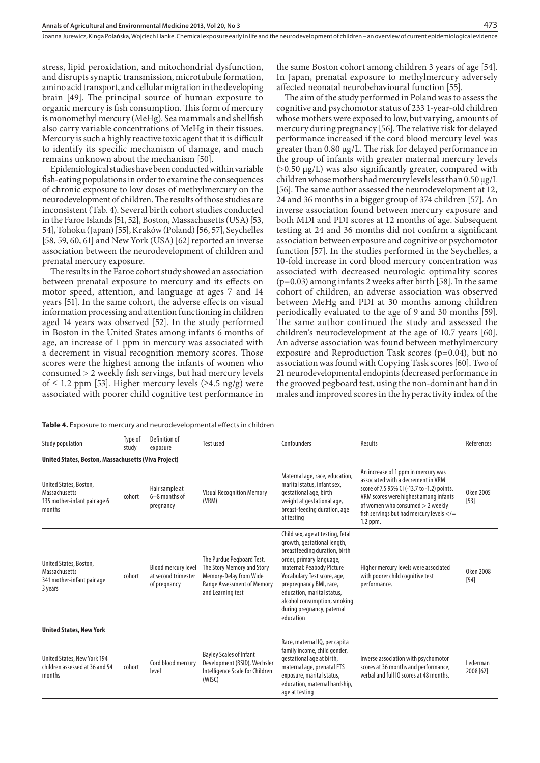stress, lipid peroxidation, and mitochondrial dysfunction, and disrupts synaptic transmission, microtubule formation, amino acid transport, and cellular migration in the developing brain [49]. The principal source of human exposure to organic mercury is fish consumption. This form of mercury is monomethyl mercury (MeHg). Sea mammals and shellfish also carry variable concentrations of MeHg in their tissues. Mercury is such a highly reactive toxic agent that it is difficult to identify its specific mechanism of damage, and much remains unknown about the mechanism [50].

Epidemiological studies have been conducted within variable fish-eating populations in order to examine the consequences of chronic exposure to low doses of methylmercury on the neurodevelopment of children. The results of those studies are inconsistent (Tab. 4). Several birth cohort studies conducted in the Faroe Islands [51, 52], Boston, Massachusetts (USA) [53, 54], Tohoku (Japan) [55], Kraków (Poland) [56, 57], Seychelles [58, 59, 60, 61] and New York (USA) [62] reported an inverse association between the neurodevelopment of children and prenatal mercury exposure.

The results in the Faroe cohort study showed an association between prenatal exposure to mercury and its effects on motor speed, attention, and language at ages 7 and 14 years [51]. In the same cohort, the adverse effects on visual information processing and attention functioning in children aged 14 years was observed [52]. In the study performed in Boston in the United States among infants 6 months of age, an increase of 1 ppm in mercury was associated with a decrement in visual recognition memory scores. Those scores were the highest among the infants of women who consumed > 2 weekly fish servings, but had mercury levels of ≤ 1.2 ppm [53]. Higher mercury levels (≥4.5 ng/g) were associated with poorer child cognitive test performance in

the same Boston cohort among children 3 years of age [54]. In Japan, prenatal exposure to methylmercury adversely affected neonatal neurobehavioural function [55].

The aim of the study performed in Poland was to assess the cognitive and psychomotor status of 233 1-year-old children whose mothers were exposed to low, but varying, amounts of mercury during pregnancy [56]. The relative risk for delayed performance increased if the cord blood mercury level was greater than 0.80 µg/L. The risk for delayed performance in the group of infants with greater maternal mercury levels  $(>0.50 \mu g/L)$  was also significantly greater, compared with children whose mothers had mercury levels less than 0.50 µg/L [56]. The same author assessed the neurodevelopment at 12, 24 and 36 months in a bigger group of 374 children [57]. An inverse association found between mercury exposure and both MDI and PDI scores at 12 months of age. Subsequent testing at 24 and 36 months did not confirm a significant association between exposure and cognitive or psychomotor function [57]. In the studies performed in the Seychelles, a 10-fold increase in cord blood mercury concentration was associated with decreased neurologic optimality scores (p=0.03) among infants 2 weeks after birth [58]. In the same cohort of children, an adverse association was observed between MeHg and PDI at 30 months among children periodically evaluated to the age of 9 and 30 months [59]. The same author continued the study and assessed the children's neurodevelopment at the age of 10.7 years [60]. An adverse association was found between methylmercury exposure and Reproduction Task scores (p=0.04), but no association was found with Copying Task scores [60]. Two of 21 neurodevelopmental endopints (decreased performance in the grooved pegboard test, using the non-dominant hand in males and improved scores in the hyperactivity index of the

| Table 4. Exposure to mercury and neurodevelopmental effects in children |  |
|-------------------------------------------------------------------------|--|
|-------------------------------------------------------------------------|--|

| <b>Study population</b>                                                                  | Type of<br>study | Definition of<br>exposure                                         | <b>Test used</b>                                                                                                                            | Confounders                                                                                                                                                                                                                                                                                                                  | Results                                                                                                                                                                                                                                                                 | References                 |
|------------------------------------------------------------------------------------------|------------------|-------------------------------------------------------------------|---------------------------------------------------------------------------------------------------------------------------------------------|------------------------------------------------------------------------------------------------------------------------------------------------------------------------------------------------------------------------------------------------------------------------------------------------------------------------------|-------------------------------------------------------------------------------------------------------------------------------------------------------------------------------------------------------------------------------------------------------------------------|----------------------------|
| United States, Boston, Massachusetts (Viva Project)                                      |                  |                                                                   |                                                                                                                                             |                                                                                                                                                                                                                                                                                                                              |                                                                                                                                                                                                                                                                         |                            |
| United States, Boston,<br><b>Massachusetts</b><br>135 mother-infant pair age 6<br>months | cohort           | Hair sample at<br>$6-8$ months of<br>pregnancy                    | <b>Visual Recognition Memory</b><br>(VRM)                                                                                                   | Maternal age, race, education,<br>marital status, infant sex,<br>gestational age, birth<br>weight at gestational age,<br>breast-feeding duration, age<br>at testing                                                                                                                                                          | An increase of 1 ppm in mercury was<br>associated with a decrement in VRM<br>score of 7.5 95% CI (-13.7 to -1.2) points.<br>VRM scores were highest among infants<br>of women who consumed > 2 weekly<br>fish servings but had mercury levels $\lt$ / $=$<br>$1.2$ ppm. | <b>Oken 2005</b><br>$[53]$ |
| United States, Boston,<br><b>Massachusetts</b><br>341 mother-infant pair age<br>3 years  | cohort           | <b>Blood mercury level</b><br>at second trimester<br>of pregnancy | The Purdue Pegboard Test,<br>The Story Memory and Story<br>Memory-Delay from Wide<br><b>Range Assessment of Memory</b><br>and Learning test | Child sex, age at testing, fetal<br>growth, gestational length,<br>breastfeeding duration, birth<br>order, primary language,<br>maternal: Peabody Picture<br>Vocabulary Test score, age,<br>prepregnancy BMI, race,<br>education, marital status,<br>alcohol consumption, smoking<br>during pregnancy, paternal<br>education | Higher mercury levels were associated<br>with poorer child cognitive test<br>performance.                                                                                                                                                                               | <b>Oken 2008</b><br>$[54]$ |
| <b>United States, New York</b>                                                           |                  |                                                                   |                                                                                                                                             |                                                                                                                                                                                                                                                                                                                              |                                                                                                                                                                                                                                                                         |                            |
| United States, New York 194<br>children assessed at 36 and 54<br>months                  | cohort           | Cord blood mercury<br>level                                       | <b>Bayley Scales of Infant</b><br>Development (BSID), Wechsler<br>Intelligence Scale for Children<br>(WISC)                                 | Race, maternal IQ, per capita<br>family income, child gender,<br>gestational age at birth,<br>maternal age, prenatal ETS<br>exposure, marital status,<br>education, maternal hardship,<br>age at testing                                                                                                                     | Inverse association with psychomotor<br>scores at 36 months and performance,<br>verbal and full IO scores at 48 months.                                                                                                                                                 | Lederman<br>2008 [62]      |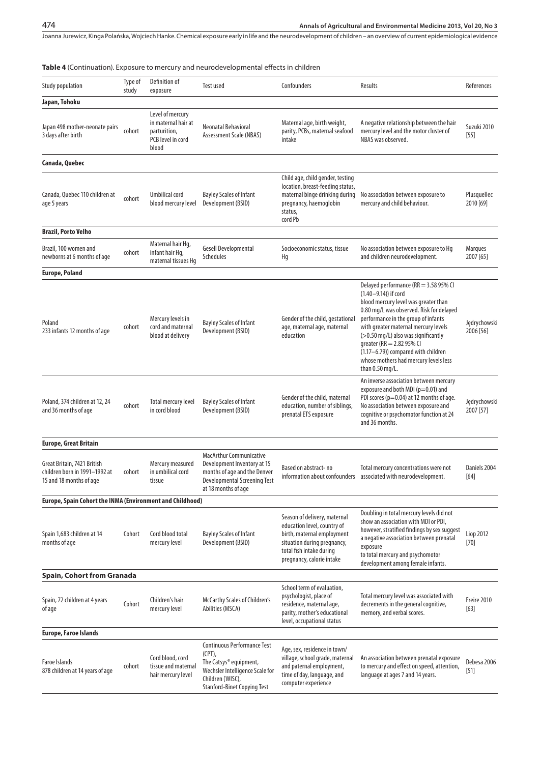| <b>Table 4</b> (Continuation). Exposure to mercury and neurodevelopmental effects in children |                  |                                                                                       |                                                                                                                                                              |                                                                                                                                                                                   |                                                                                                                                                                                                                                                                                                                                                                                                         |                           |
|-----------------------------------------------------------------------------------------------|------------------|---------------------------------------------------------------------------------------|--------------------------------------------------------------------------------------------------------------------------------------------------------------|-----------------------------------------------------------------------------------------------------------------------------------------------------------------------------------|---------------------------------------------------------------------------------------------------------------------------------------------------------------------------------------------------------------------------------------------------------------------------------------------------------------------------------------------------------------------------------------------------------|---------------------------|
| <b>Study population</b>                                                                       | Type of<br>study | Definition of<br>exposure                                                             | Test used                                                                                                                                                    | Confounders                                                                                                                                                                       | Results                                                                                                                                                                                                                                                                                                                                                                                                 | References                |
| Japan, Tohoku                                                                                 |                  |                                                                                       |                                                                                                                                                              |                                                                                                                                                                                   |                                                                                                                                                                                                                                                                                                                                                                                                         |                           |
| Japan 498 mother-neonate pairs<br>3 days after birth                                          | cohort           | Level of mercury<br>in maternal hair at<br>parturition,<br>PCB level in cord<br>blood | Neonatal Behavioral<br>Assessment Scale (NBAS)                                                                                                               | Maternal age, birth weight,<br>parity, PCBs, maternal seafood<br>intake                                                                                                           | A negative relationship between the hair<br>mercury level and the motor cluster of<br>NBAS was observed.                                                                                                                                                                                                                                                                                                | Suzuki 2010<br>[55]       |
| Canada, Quebec                                                                                |                  |                                                                                       |                                                                                                                                                              |                                                                                                                                                                                   |                                                                                                                                                                                                                                                                                                                                                                                                         |                           |
| Canada, Quebec 110 children at<br>age 5 years                                                 | cohort           | Umbilical cord<br>blood mercury level                                                 | <b>Bayley Scales of Infant</b><br>Development (BSID)                                                                                                         | Child age, child gender, testing<br>location, breast-feeding status,<br>maternal binge drinking during<br>pregnancy, haemoglobin<br>status,<br>cord Pb                            | No association between exposure to<br>mercury and child behaviour.                                                                                                                                                                                                                                                                                                                                      | Plusquellec<br>2010 [69]  |
| Brazil, Porto Velho                                                                           |                  |                                                                                       |                                                                                                                                                              |                                                                                                                                                                                   |                                                                                                                                                                                                                                                                                                                                                                                                         |                           |
| Brazil, 100 women and<br>newborns at 6 months of age                                          | cohort           | Maternal hair Hq,<br>infant hair Hq,<br>maternal tissues Hq                           | Gesell Developmental<br><b>Schedules</b>                                                                                                                     | Socioeconomic status, tissue<br>Hq                                                                                                                                                | No association between exposure to Hq<br>and children neurodevelopment.                                                                                                                                                                                                                                                                                                                                 | Marques<br>2007 [65]      |
| Europe, Poland                                                                                |                  |                                                                                       |                                                                                                                                                              |                                                                                                                                                                                   |                                                                                                                                                                                                                                                                                                                                                                                                         |                           |
| Poland<br>233 infants 12 months of age                                                        | cohort           | Mercury levels in<br>cord and maternal<br>blood at delivery                           | <b>Bayley Scales of Infant</b><br>Development (BSID)                                                                                                         | Gender of the child, gestational<br>age, maternal age, maternal<br>education                                                                                                      | Delayed performance (RR = 3.58 95% CI<br>(1.40-9.14)) if cord<br>blood mercury level was greater than<br>0.80 mg/L was observed. Risk for delayed<br>performance in the group of infants<br>with greater maternal mercury levels<br>(>0.50 mg/L) also was significantly<br>greater (RR = 2.82 95% Cl<br>(1.17-6.79)) compared with children<br>whose mothers had mercury levels less<br>than 0.50 mg/L. | Jędrychowski<br>2006 [56] |
| Poland, 374 children at 12, 24<br>and 36 months of age                                        | cohort           | <b>Total mercury level</b><br>in cord blood                                           | <b>Bayley Scales of Infant</b><br>Development (BSID)                                                                                                         | Gender of the child, maternal<br>education, number of siblings,<br>prenatal ETS exposure                                                                                          | An inverse association between mercury<br>exposure and both MDI ( $p=0.01$ ) and<br>PDI scores (p=0.04) at 12 months of age.<br>No association between exposure and<br>cognitive or psychomotor function at 24<br>and 36 months.                                                                                                                                                                        | Jędrychowski<br>2007 [57] |
| Europe, Great Britain                                                                         |                  |                                                                                       |                                                                                                                                                              |                                                                                                                                                                                   |                                                                                                                                                                                                                                                                                                                                                                                                         |                           |
| Great Britain, 7421 British<br>children born in 1991–1992 at<br>15 and 18 months of age       | cohort           | Mercury measured<br>in umbilical cord<br>tissue                                       | <b>MacArthur Communicative</b><br>Development Inventory at 15<br>months of age and the Denver<br><b>Developmental Screening Test</b><br>at 18 months of age  | Based on abstract-no                                                                                                                                                              | Total mercury concentrations were not<br>information about confounders associated with neurodevelopment.                                                                                                                                                                                                                                                                                                | Daniels 2004<br>[64]      |
| Europe, Spain Cohort the INMA (Environment and Childhood)                                     |                  |                                                                                       |                                                                                                                                                              |                                                                                                                                                                                   |                                                                                                                                                                                                                                                                                                                                                                                                         |                           |
| Spain 1,683 children at 14<br>months of age                                                   | Cohort           | Cord blood total<br>mercury level                                                     | <b>Bayley Scales of Infant</b><br>Development (BSID)                                                                                                         | Season of delivery, maternal<br>education level, country of<br>birth, maternal employment<br>situation during pregnancy,<br>total fish intake during<br>pregnancy, calorie intake | Doubling in total mercury levels did not<br>show an association with MDI or PDI,<br>however, stratified findings by sex suggest<br>a negative association between prenatal<br>exposure<br>to total mercury and psychomotor<br>development among female infants.                                                                                                                                         | Liop 2012<br>$[70]$       |
| Spain, Cohort from Granada                                                                    |                  |                                                                                       |                                                                                                                                                              |                                                                                                                                                                                   |                                                                                                                                                                                                                                                                                                                                                                                                         |                           |
| Spain, 72 children at 4 years<br>of age                                                       | Cohort           | Children's hair<br>mercury level                                                      | McCarthy Scales of Children's<br>Abilities (MSCA)                                                                                                            | School term of evaluation,<br>psychologist, place of<br>residence, maternal age,<br>parity, mother's educational<br>level, occupational status                                    | Total mercury level was associated with<br>decrements in the general cognitive,<br>memory, and verbal scores.                                                                                                                                                                                                                                                                                           | Freire 2010<br>[63]       |
| Europe, Faroe Islands                                                                         |                  |                                                                                       |                                                                                                                                                              |                                                                                                                                                                                   |                                                                                                                                                                                                                                                                                                                                                                                                         |                           |
| Faroe Islands<br>878 children at 14 years of age                                              | cohort           | Cord blood, cord<br>tissue and maternal<br>hair mercury level                         | Continuous Performance Test<br>(CPT),<br>The Catsys® equipment,<br>Wechsler Intelligence Scale for<br>Children (WISC),<br><b>Stanford-Binet Copying Test</b> | Age, sex, residence in town/<br>village, school grade, maternal<br>and paternal employment,<br>time of day, language, and<br>computer experience                                  | An association between prenatal exposure<br>to mercury and effect on speed, attention,<br>language at ages 7 and 14 years.                                                                                                                                                                                                                                                                              | Debesa 2006<br>$[51]$     |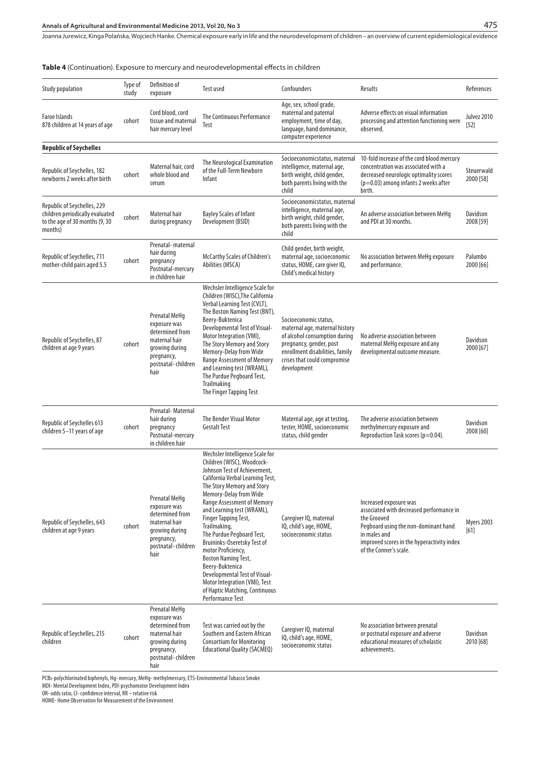**Table 4** (Continuation). Exposure to mercury and neurodevelopmental effects in children

| Study population                                                                                            | Type of<br>study | Definition of<br>exposure                                                                                                       | <b>Test used</b>                                                                                                                                                                                                                                                                                                                                                                                                                                                                                                                                                | Confounders                                                                                                                                                                                           | Results                                                                                                                                                                                                           | References                |
|-------------------------------------------------------------------------------------------------------------|------------------|---------------------------------------------------------------------------------------------------------------------------------|-----------------------------------------------------------------------------------------------------------------------------------------------------------------------------------------------------------------------------------------------------------------------------------------------------------------------------------------------------------------------------------------------------------------------------------------------------------------------------------------------------------------------------------------------------------------|-------------------------------------------------------------------------------------------------------------------------------------------------------------------------------------------------------|-------------------------------------------------------------------------------------------------------------------------------------------------------------------------------------------------------------------|---------------------------|
| <b>Faroe Islands</b><br>878 children at 14 years of age                                                     | cohort           | Cord blood, cord<br>tissue and maternal<br>hair mercury level                                                                   | The Continuous Performance<br>Test                                                                                                                                                                                                                                                                                                                                                                                                                                                                                                                              | Age, sex, school grade,<br>maternal and paternal<br>employment, time of day,<br>language, hand dominance,<br>computer experience                                                                      | Adverse effects on visual information<br>processing and attention functioning were<br>observed.                                                                                                                   | Julyez 2010<br>$[52]$     |
| <b>Republic of Seychelles</b>                                                                               |                  |                                                                                                                                 |                                                                                                                                                                                                                                                                                                                                                                                                                                                                                                                                                                 |                                                                                                                                                                                                       |                                                                                                                                                                                                                   |                           |
| Republic of Seychelles, 182<br>newborns 2 weeks after birth                                                 | cohort           | Maternal hair, cord<br>whole blood and<br>serum                                                                                 | The Neurological Examination<br>of the Full-Term Newborn<br>Infant                                                                                                                                                                                                                                                                                                                                                                                                                                                                                              | Socioeconomicstatus, maternal<br>intelligence, maternal age,<br>birth weight, child gender,<br>both parents living with the<br>child                                                                  | 10-fold increase of the cord blood mercury<br>concentration was associated with a<br>decreased neurologic optimality scores<br>$(p=0.03)$ among infants 2 weeks after<br>birth.                                   | Steuerwald<br>2000 [58]   |
| Republic of Seychelles, 229<br>children periodically evaluated<br>to the age of 30 months (9, 30<br>months) | cohort           | Maternal hair<br>during pregnancy                                                                                               | <b>Bayley Scales of Infant</b><br>Development (BSID)                                                                                                                                                                                                                                                                                                                                                                                                                                                                                                            | Socioeconomicstatus, maternal<br>intelligence, maternal age,<br>birth weight, child gender,<br>both parents living with the<br>child                                                                  | An adverse association between MeHg<br>and PDI at 30 months.                                                                                                                                                      | Davidson<br>2008 [59]     |
| Republic of Seychelles, 711<br>mother-child pairs aged 5.5                                                  | cohort           | Prenatal-maternal<br>hair during<br>pregnancy<br>Postnatal-mercury<br>in children hair                                          | McCarthy Scales of Children's<br>Abilities (MSCA)                                                                                                                                                                                                                                                                                                                                                                                                                                                                                                               | Child gender, birth weight,<br>maternal age, socioeconomic<br>status, HOME, care giver IQ,<br>Child's medical history                                                                                 | No association between MeHq exposure<br>and performance.                                                                                                                                                          | Palumbo<br>2000 [66]      |
| Republic of Seychelles, 87<br>children at age 9 years                                                       | cohort           | Prenatal MeHq<br>exposure was<br>determined from<br>maternal hair<br>growing during<br>pregnancy,<br>postnatal-children<br>hair | Wechsler Intelligence Scale for<br>Children (WISC), The California<br>Verbal Learning Test (CVLT),<br>The Boston Naming Test (BNT),<br>Beery-Buktenica<br>Developmental Test of Visual-<br>Motor Integration (VMI),<br>The Story Memory and Story<br>Memory-Delay from Wide<br>Range Assessment of Memory<br>and Learning test (WRAML),<br>The Purdue Pegboard Test,<br>Trailmaking<br>The Finger Tapping Test                                                                                                                                                  | Socioeconomic status,<br>maternal age, maternal history<br>of alcohol consumption during<br>pregnancy, gender, post<br>enrollment disabilities, family<br>crises that could compromise<br>development | No adverse association between<br>maternal MeHg exposure and any<br>developmental outcome measure.                                                                                                                | Davidson<br>2000 [67]     |
| Republic of Seychelles 613<br>children 5-11 years of age                                                    | cohort           | Prenatal-Maternal<br>hair during<br>pregnancy<br>Postnatal-mercury<br>in children hair                                          | <b>The Bender Visual Motor</b><br><b>Gestalt Test</b>                                                                                                                                                                                                                                                                                                                                                                                                                                                                                                           | Maternal age, age at testing,<br>tester, HOME, socioeconomic<br>status, child gender                                                                                                                  | The adverse association between<br>methylmercury exposure and<br>Reproduction Task scores (p=0.04).                                                                                                               | Davidson<br>2008 [60]     |
| Republic of Seychelles, 643<br>children at age 9 years                                                      | cohort           | Prenatal MeHq<br>exposure was<br>determined from<br>maternal hair<br>growing during<br>pregnancy,<br>postnatal-children<br>hair | Wechsler Intelligence Scale for<br>Children (WISC), Woodcock-<br>Johnson Test of Achievement,<br>California Verbal Learning Test,<br>The Story Memory and Story<br>Memory-Delay from Wide<br><b>Range Assessment of Memory</b><br>and Learning test (WRAML),<br>Finger Tapping Test,<br>Trailmaking,<br>The Purdue Pegboard Test,<br>Bruininks-Oseretsky Test of<br>motor Proficiency,<br><b>Boston Naming Test,</b><br>Beery-Buktenica<br>Developmental Test of Visual-<br>Motor Integration (VMI), Test<br>of Haptic Matching, Continuous<br>Performance Test | Caregiver IQ, maternal<br>IQ, child's age, HOME,<br>socioeconomic status                                                                                                                              | Increased exposure was<br>associated with decreased performance in<br>the Grooved<br>Pegboard using the non-dominant hand<br>in males and<br>improved scores in the hyperactivity index<br>of the Conner's scale. | <b>Myers 2003</b><br>[61] |
| Republic of Seychelles, 215<br>children                                                                     | cohort           | Prenatal MeHq<br>exposure was<br>determined from<br>maternal hair<br>growing during<br>pregnancy,<br>postnatal-children<br>hair | Test was carried out by the<br>Southern and Eastern African<br><b>Consortium for Monitoring</b><br><b>Educational Quality (SACMEQ)</b>                                                                                                                                                                                                                                                                                                                                                                                                                          | Caregiver IQ, maternal<br>IQ, child's age, HOME,<br>socioeconomic status                                                                                                                              | No association between prenatal<br>or postnatal exposure and adverse<br>educational measures of scholastic<br>achievements.                                                                                       | Davidson<br>2010 [68]     |

PCBs-polychlorinated biphenyls, Hg- mercury, MeHg- methylmercury, ETS-Environmental Tobacco Smoke

MDI- Mental Development Index, PDI-psychomotor Development Index

OR- odds ratio, CI- confidence interval, RR – relative risk

HOME- Home Observation for Measurement of the Environment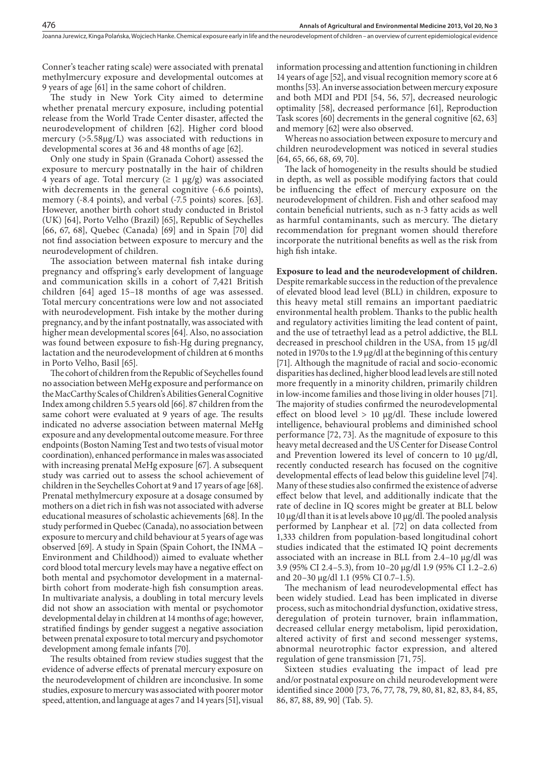Conner's teacher rating scale) were associated with prenatal methylmercury exposure and developmental outcomes at 9 years of age [61] in the same cohort of children.

The study in New York City aimed to determine whether prenatal mercury exposure, including potential release from the World Trade Center disaster, affected the neurodevelopment of children [62]. Higher cord blood mercury (>5.58µg/L) was associated with reductions in developmental scores at 36 and 48 months of age [62].

Only one study in Spain (Granada Cohort) assessed the exposure to mercury postnatally in the hair of children 4 years of age. Total mercury ( $\geq 1 \mu g/g$ ) was associated with decrements in the general cognitive  $(-6.6 \text{ points})$ , memory (-8.4 points), and verbal (-7.5 points) scores. [63]. However, another birth cohort study conducted in Bristol (UK) [64], Porto Velho (Brazil) [65], Republic of Seychelles [66, 67, 68], Quebec (Canada) [69] and in Spain [70] did not find association between exposure to mercury and the neurodevelopment of children.

The association between maternal fish intake during pregnancy and offspring's early development of language and communication skills in a cohort of 7,421 British children [64] aged 15–18 months of age was assessed. Total mercury concentrations were low and not associated with neurodevelopment. Fish intake by the mother during pregnancy, and by the infant postnatally, was associated with higher mean developmental scores [64]. Also, no association was found between exposure to fish-Hg during pregnancy, lactation and the neurodevelopment of children at 6 months in Porto Velho, Basil [65].

The cohort of children from the Republic of Seychelles found no association between MeHg exposure and performance on the MacCarthy Scales of Children's Abilities General Cognitive Index among children 5.5 years old [66]. 87 children from the same cohort were evaluated at 9 years of age. The results indicated no adverse association between maternal MeHg exposure and any developmental outcome measure. For three endpoints (Boston Naming Test and two tests of visual motor coordination), enhanced performance in males was associated with increasing prenatal MeHg exposure [67]. A subsequent study was carried out to assess the school achievement of children in the Seychelles Cohort at 9 and 17 years of age [68]. Prenatal methylmercury exposure at a dosage consumed by mothers on a diet rich in fish was not associated with adverse educational measures of scholastic achievements [68]. In the study performed in Quebec (Canada), no association between exposure to mercury and child behaviour at 5 years of age was observed [69]. A study in Spain (Spain Cohort, the INMA – Environment and Childhood)) aimed to evaluate whether cord blood total mercury levels may have a negative effect on both mental and psychomotor development in a maternalbirth cohort from moderate-high fish consumption areas. In multivariate analysis, a doubling in total mercury levels did not show an association with mental or psychomotor developmental delay in children at 14 months of age; however, stratified findings by gender suggest a negative association between prenatal exposure to total mercury and psychomotor development among female infants [70].

The results obtained from review studies suggest that the evidence of adverse effects of prenatal mercury exposure on the neurodevelopment of children are inconclusive. In some studies, exposure to mercury was associated with poorer motor speed, attention, and language at ages 7 and 14 years [51], visual information processing and attention functioning in children 14 years of age [52], and visual recognition memory score at 6 months [53]. An inverse association between mercury exposure and both MDI and PDI [54, 56, 57], decreased neurologic optimality [58], decreased performance [61], Reproduction Task scores [60] decrements in the general cognitive [62, 63] and memory [62] were also observed.

**Annals of Agricultural and Environmental Medicine 2013, Vol 20, No 3**

Whereas no association between exposure to mercury and children neurodevelopment was noticed in several studies [64, 65, 66, 68, 69, 70].

The lack of homogeneity in the results should be studied in depth, as well as possible modifying factors that could be influencing the effect of mercury exposure on the neurodevelopment of children. Fish and other seafood may contain beneficial nutrients, such as n-3 fatty acids as well as harmful contaminants, such as mercury. The dietary recommendation for pregnant women should therefore incorporate the nutritional benefits as well as the risk from high fish intake.

**Exposure to lead and the neurodevelopment of children.** Despite remarkable success in the reduction of the prevalence of elevated blood lead level (BLL) in children, exposure to this heavy metal still remains an important paediatric environmental health problem. Thanks to the public health and regulatory activities limiting the lead content of paint, and the use of tetraethyl lead as a petrol addictive, the BLL decreased in preschool children in the USA, from 15 µg/dl noted in 1970s to the 1.9 µg/dl at the beginning of this century [71]. Although the magnitude of racial and socio-economic disparities has declined, higher blood lead levels are still noted more frequently in a minority children, primarily children in low-income families and those living in older houses [71]. The majority of studies confirmed the neurodevelopmental effect on blood level  $> 10 \mu g/d$ l. These include lowered intelligence, behavioural problems and diminished school performance [72, 73]. As the magnitude of exposure to this heavy metal decreased and the US Center for Disease Control and Prevention lowered its level of concern to 10  $\mu$ g/dl, recently conducted research has focused on the cognitive developmental effects of lead below this guideline level [74]. Many of these studies also confirmed the existence of adverse effect below that level, and additionally indicate that the rate of decline in IQ scores might be greater at BLL below 10 µg/dl than it is at levels above 10 µg/dl. The pooled analysis performed by Lanphear et al. [72] on data collected from 1,333 children from population-based longitudinal cohort studies indicated that the estimated IQ point decrements associated with an increase in BLL from 2.4–10 µg/dl was 3.9 (95% CI 2.4–5.3), from 10–20 µg/dl 1.9 (95% CI 1.2–2.6) and 20–30 µg/dl 1.1 (95% CI 0.7–1.5).

The mechanism of lead neurodevelopmental effect has been widely studied. Lead has been implicated in diverse process, such as mitochondrial dysfunction, oxidative stress, deregulation of protein turnover, brain inflammation, decreased cellular energy metabolism, lipid peroxidation, altered activity of first and second messenger systems, abnormal neurotrophic factor expression, and altered regulation of gene transmission [71, 75].

Sixteen studies evaluating the impact of lead pre and/or postnatal exposure on child neurodevelopment were identified since 2000 [73, 76, 77, 78, 79, 80, 81, 82, 83, 84, 85, 86, 87, 88, 89, 90] (Tab. 5).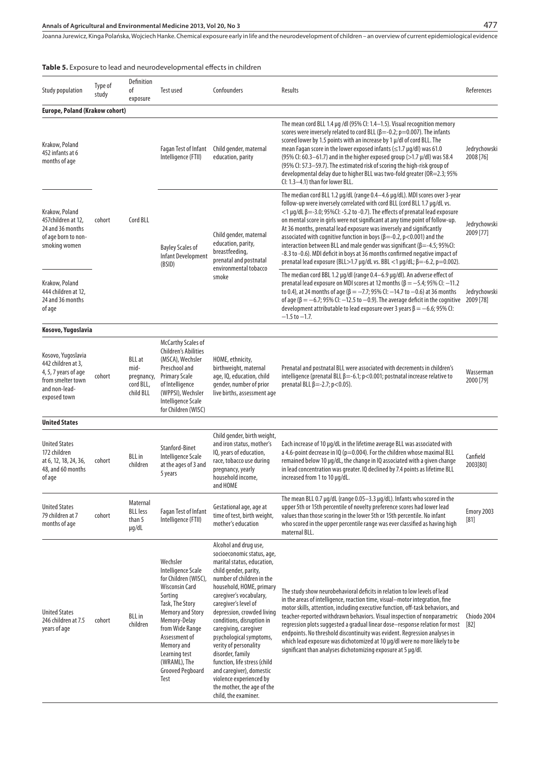# **Annals of Agricultural and Environmental Medicine 2013, Vol 20, No 3**

Joanna Jurewicz, Kinga Polańska, Wojciech Hanke . Chemical exposure early in life and the neurodevelopment of children – an overview of current epidemiological evidence

## **Table 5.** Exposure to lead and neurodevelopmental effects in children

| <b>Study population</b>                                                                                                | Type of<br>study | Definition<br>оf<br>exposure                                  | Test used                                                                                                                                                                                                                                                               | Confounders                                                                                                                                                                                                                                                                                                                                                                                                                                                                                                                     | Results                                                                                                                                                                                                                                                                                                                                                                                                                                                                                                                                                                                                                                                                                                                                      | References                |
|------------------------------------------------------------------------------------------------------------------------|------------------|---------------------------------------------------------------|-------------------------------------------------------------------------------------------------------------------------------------------------------------------------------------------------------------------------------------------------------------------------|---------------------------------------------------------------------------------------------------------------------------------------------------------------------------------------------------------------------------------------------------------------------------------------------------------------------------------------------------------------------------------------------------------------------------------------------------------------------------------------------------------------------------------|----------------------------------------------------------------------------------------------------------------------------------------------------------------------------------------------------------------------------------------------------------------------------------------------------------------------------------------------------------------------------------------------------------------------------------------------------------------------------------------------------------------------------------------------------------------------------------------------------------------------------------------------------------------------------------------------------------------------------------------------|---------------------------|
| <b>Europe, Poland (Krakow cohort)</b>                                                                                  |                  |                                                               |                                                                                                                                                                                                                                                                         |                                                                                                                                                                                                                                                                                                                                                                                                                                                                                                                                 |                                                                                                                                                                                                                                                                                                                                                                                                                                                                                                                                                                                                                                                                                                                                              |                           |
| Krakow, Poland<br>452 infants at 6<br>months of age                                                                    |                  |                                                               | Fagan Test of Infant<br>Intelligence (FTII)                                                                                                                                                                                                                             | Child gender, maternal<br>education, parity                                                                                                                                                                                                                                                                                                                                                                                                                                                                                     | The mean cord BLL 1.4 µg /dl (95% Cl: 1.4–1.5). Visual recognition memory<br>scores were inversely related to cord BLL ( $\beta$ =-0.2; p=0.007). The infants<br>scored lower by 1.5 points with an increase by 1 µ/dl of cord BLL. The<br>mean Fagan score in the lower exposed infants ( $\leq$ 1.7 µg/dl) was 61.0<br>(95% CI: 60.3-61.7) and in the higher exposed group (>1.7 $\mu$ /dl) was 58.4<br>(95% CI: 57.3–59.7). The estimated risk of scoring the high-risk group of<br>developmental delay due to higher BLL was two-fold greater (OR=2.3; 95%<br>CI: 1.3-4.1) than for lower BLL.                                                                                                                                           | Jedrychowski<br>2008 [76] |
| Krakow, Poland<br>457children at 12,<br>24 and 36 months<br>of age born to non-<br>smoking women                       | cohort           | Cord BLL                                                      | <b>Bayley Scales of</b><br><b>Infant Development</b><br>(BSID)                                                                                                                                                                                                          | Child gender, maternal<br>education, parity,<br>breastfeeding,<br>prenatal and postnatal<br>environmental tobacco                                                                                                                                                                                                                                                                                                                                                                                                               | The median cord BLL 1.2 µg/dL (range 0.4-4.6 µg/dL). MDI scores over 3-year<br>follow-up were inversely correlated with cord BLL (cord BLL 1.7 µg/dL vs.<br>$<$ 1 µg/dL $\beta$ = -3.0; 95%Cl: -5.2 to -0.7). The effects of prenatal lead exposure<br>on mental score in girls were not significant at any time point of follow-up.<br>At 36 months, prenatal lead exposure was inversely and significantly<br>associated with cognitive function in boys ( $\beta$ =-0.2, p<0.001) and the<br>interaction between BLL and male gender was significant ( $\beta$ =-4.5; 95%CI:<br>-8.3 to -0.6). MDI deficit in boys at 36 months confirmed negative impact of<br>prenatal lead exposure (BLL>1.7 μg/dL vs. BBL <1 μg/dL; β=-6.2, p=0.002). | Jedrychowski<br>2009 [77] |
| Krakow, Poland<br>444 children at 12,<br>24 and 36 months<br>of age                                                    |                  |                                                               |                                                                                                                                                                                                                                                                         | smoke                                                                                                                                                                                                                                                                                                                                                                                                                                                                                                                           | The median cord BBL 1.2 µg/dl (range 0.4–6.9 µg/dl). An adverse effect of<br>prenatal lead exposure on MDI scores at 12 months ( $\beta = -5.4$ ; 95% CI: -11.2<br>to 0.4), at 24 months of age ( $\beta = -7.7$ ; 95% CI: -14.7 to -0.6) at 36 months<br>of age ( $\beta = -6.7$ ; 95% Cl: -12.5 to -0.9). The average deficit in the cognitive 2009 [78]<br>development attributable to lead exposure over 3 years $\beta = -6.6$ ; 95% CI:<br>$-1.5$ to $-1.7$ .                                                                                                                                                                                                                                                                          | Jedrychowski              |
| Kosovo, Yugoslavia                                                                                                     |                  |                                                               |                                                                                                                                                                                                                                                                         |                                                                                                                                                                                                                                                                                                                                                                                                                                                                                                                                 |                                                                                                                                                                                                                                                                                                                                                                                                                                                                                                                                                                                                                                                                                                                                              |                           |
| Kosovo, Yugoslavia<br>442 children at 3,<br>4, 5, 7 years of age<br>from smelter town<br>and non-lead-<br>exposed town | cohort           | <b>BLL</b> at<br>mid-<br>pregnancy,<br>cord BLL,<br>child BLL | <b>McCarthy Scales of</b><br>Children's Abilities<br>(MSCA), Wechsler<br>Preschool and<br><b>Primary Scale</b><br>of Intelligence<br>(WPPSI), Wechsler<br>Intelligence Scale<br>for Children (WISC)                                                                     | HOME, ethnicity,<br>birthweight, maternal<br>age, IQ, education, child<br>gender, number of prior<br>live births, assessment age                                                                                                                                                                                                                                                                                                                                                                                                | Prenatal and postnatal BLL were associated with decrements in children's<br>intelligence (prenatal BLL $\beta$ =-6.1; p<0.001; postnatal increase relative to<br>prenatal BLL $\beta = -2.7$ ; p<0.05).                                                                                                                                                                                                                                                                                                                                                                                                                                                                                                                                      | Wasserman<br>2000 [79]    |
| <b>United States</b>                                                                                                   |                  |                                                               |                                                                                                                                                                                                                                                                         |                                                                                                                                                                                                                                                                                                                                                                                                                                                                                                                                 |                                                                                                                                                                                                                                                                                                                                                                                                                                                                                                                                                                                                                                                                                                                                              |                           |
| <b>United States</b><br>172 children<br>at 6, 12, 18, 24, 36,<br>48, and 60 months<br>of age                           | cohort           | <b>BLL</b> in<br>children                                     | Stanford-Binet<br>Intelligence Scale<br>at the ages of 3 and<br>5 years                                                                                                                                                                                                 | Child gender, birth weight,<br>and iron status, mother's<br>IQ, years of education,<br>race, tobacco use during<br>pregnancy, yearly<br>household income,<br>and HOME                                                                                                                                                                                                                                                                                                                                                           | Each increase of 10 µg/dL in the lifetime average BLL was associated with<br>a 4.6-point decrease in $IQ$ ( $p=0.004$ ). For the children whose maximal BLL<br>remained below 10 µg/dL, the change in IQ associated with a given change<br>in lead concentration was greater. IQ declined by 7.4 points as lifetime BLL<br>increased from 1 to 10 µg/dL.                                                                                                                                                                                                                                                                                                                                                                                     | Canfield<br>2003[80]      |
| <b>United States</b><br>79 children at 7<br>months of age                                                              | cohort           | Maternal<br><b>BLL</b> less<br>than 5<br>µg/dL                | Fagan Test of Infant<br>Intelligence (FTII)                                                                                                                                                                                                                             | Gestational age, age at<br>time of test, birth weight,<br>mother's education                                                                                                                                                                                                                                                                                                                                                                                                                                                    | The mean BLL 0.7 µg/dL (range 0.05-3.3 µg/dL). Infants who scored in the<br>upper 5th or 15th percentile of novelty preference scores had lower lead<br>values than those scoring in the lower 5th or 15th percentile. No infant<br>who scored in the upper percentile range was ever classified as having high<br>maternal BLL.                                                                                                                                                                                                                                                                                                                                                                                                             | Emory 2003<br>[81]        |
| <b>United States</b><br>246 children at 7.5<br>years of age                                                            | cohort           | BLL in<br>children                                            | Wechsler<br>Intelligence Scale<br>for Children (WISC),<br><b>Wisconsin Card</b><br>Sorting<br>Task, The Story<br><b>Memory and Story</b><br>Memory-Delay<br>from Wide Range<br>Assessment of<br>Memory and<br>Learning test<br>(WRAML), The<br>Grooved Pegboard<br>Test | Alcohol and drug use,<br>socioeconomic status, age,<br>marital status, education,<br>child gender, parity,<br>number of children in the<br>household, HOME, primary<br>caregiver's vocabulary,<br>caregiver's level of<br>depression, crowded living<br>conditions, disruption in<br>caregiving, caregiver<br>psychological symptoms,<br>verity of personality<br>disorder, family<br>function, life stress (child<br>and caregiver), domestic<br>violence experienced by<br>the mother, the age of the<br>child, the examiner. | The study show neurobehavioral deficits in relation to low levels of lead<br>in the areas of intelligence, reaction time, visual–motor integration, fine<br>motor skills, attention, including executive function, off-task behaviors, and<br>teacher-reported withdrawn behaviors. Visual inspection of nonparametric<br>regression plots suggested a gradual linear dose-response relation for most<br>endpoints. No threshold discontinuity was evident. Regression analyses in<br>which lead exposure was dichotomized at 10 µg/dl were no more likely to be<br>significant than analyses dichotomizing exposure at 5 µg/dl.                                                                                                             | Chiodo 2004<br>$[82]$     |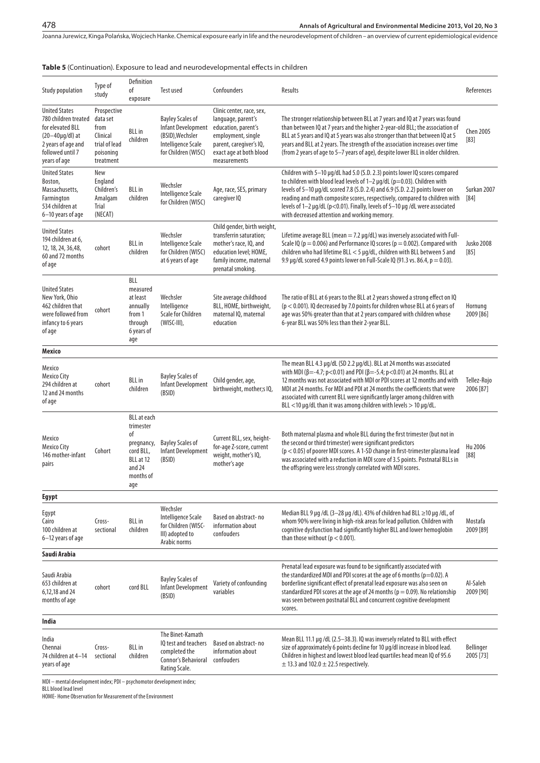## **Table 5** (Continuation). Exposure to lead and neurodevelopmental effects in children

| <b>Study population</b>                                                                                                                            | Type of<br>study                                                                       | Definition<br>оf<br>exposure                                                                                | Test used                                                                                                             | Confounders                                                                                                                                                        | Results                                                                                                                                                                                                                                                                                                                                                                                                                                                                                | References                |
|----------------------------------------------------------------------------------------------------------------------------------------------------|----------------------------------------------------------------------------------------|-------------------------------------------------------------------------------------------------------------|-----------------------------------------------------------------------------------------------------------------------|--------------------------------------------------------------------------------------------------------------------------------------------------------------------|----------------------------------------------------------------------------------------------------------------------------------------------------------------------------------------------------------------------------------------------------------------------------------------------------------------------------------------------------------------------------------------------------------------------------------------------------------------------------------------|---------------------------|
| <b>United States</b><br>780 children treated<br>for elevated BLL<br>$(20-40\mu q/dl)$ at<br>2 years of age and<br>followed until 7<br>years of age | Prospective<br>data set<br>from<br>Clinical<br>trial of lead<br>poisoning<br>treatment | <b>BLL</b> in<br>children                                                                                   | <b>Bayley Scales of</b><br><b>Infant Development</b><br>(BSID), Wechsler<br>Intelligence Scale<br>for Children (WISC) | Clinic center, race, sex,<br>language, parent's<br>education, parent's<br>employment, single<br>parent, caregiver's IQ,<br>exact age at both blood<br>measurements | The stronger relationship between BLL at 7 years and IQ at 7 years was found<br>than between IQ at 7 years and the higher 2-year-old BLL; the association of<br>BLL at 5 years and IQ at 5 years was also stronger than that between IQ at 5<br>years and BLL at 2 years. The strength of the association increases over time<br>(from 2 years of age to 5-7 years of age), despite lower BLL in older children.                                                                       | <b>Chen 2005</b><br>[83]  |
| <b>United States</b><br>Boston,<br>Massachusetts,<br>Farmington<br>534 children at<br>6-10 years of age                                            | New<br>England<br>Children's<br>Amalgam<br>Trial<br>(NECAT)                            | <b>BLL</b> in<br>children                                                                                   | Wechsler<br>Intelligence Scale<br>for Children (WISC)                                                                 | Age, race, SES, primary<br>caregiver IQ                                                                                                                            | Children with 5-10 µg/dL had 5.0 (S.D. 2.3) points lower IQ scores compared<br>to children with blood lead levels of $1-2 \mu q/dL$ (p=0.03). Children with<br>levels of 5-10 µq/dL scored 7.8 (S.D. 2.4) and 6.9 (S.D. 2.2) points lower on<br>reading and math composite scores, respectively, compared to children with<br>levels of 1-2 µg/dL (p<0.01). Finally, levels of 5-10 µg /dL were associated<br>with decreased attention and working memory.                             | Surkan 2007<br>[84]       |
| <b>United States</b><br>194 children at 6,<br>12, 18, 24, 36, 48,<br>60 and 72 months<br>of age                                                    | cohort                                                                                 | <b>BLL</b> in<br>children                                                                                   | Wechsler<br>Intelligence Scale<br>for Children (WISC)<br>at 6 years of age                                            | Child gender, birth weight,<br>transferrin saturation;<br>mother's race, IQ, and<br>education level; HOME,<br>family income, maternal<br>prenatal smoking.         | Lifetime average BLL (mean $=$ 7.2 $\mu$ g/dL) was inversely associated with Full-<br>Scale IQ ( $p = 0.006$ ) and Performance IQ scores ( $p = 0.002$ ). Compared with<br>children who had lifetime BLL < 5 µg/dL, children with BLL between 5 and<br>9.9 µg/dL scored 4.9 points lower on Full-Scale IQ (91.3 vs. 86.4, $p = 0.03$ ).                                                                                                                                                | <b>Jusko 2008</b><br>[85] |
| <b>United States</b><br>New York, Ohio<br>462 children that<br>were followed from<br>infancy to 6 years<br>of age                                  | cohort                                                                                 | BLL<br>measured<br>at least<br>annually<br>from 1<br>through<br>6 years of<br>age                           | Wechsler<br>Intelligence<br>Scale for Children<br>(WISC-III),                                                         | Site average childhood<br>BLL, HOME, birthweight,<br>maternal IQ, maternal<br>education                                                                            | The ratio of BLL at 6 years to the BLL at 2 years showed a strong effect on IQ<br>$(p < 0.001)$ . IQ decreased by 7.0 points for children whose BLL at 6 years of<br>age was 50% greater than that at 2 years compared with children whose<br>6-year BLL was 50% less than their 2-year BLL.                                                                                                                                                                                           | Hornung<br>2009 [86]      |
| Mexico                                                                                                                                             |                                                                                        |                                                                                                             |                                                                                                                       |                                                                                                                                                                    |                                                                                                                                                                                                                                                                                                                                                                                                                                                                                        |                           |
| Mexico<br>Mexico City<br>294 children at<br>12 and 24 months<br>of age                                                                             | cohort                                                                                 | <b>BLL</b> in<br>children                                                                                   | <b>Bayley Scales of</b><br><b>Infant Development</b><br>(BSID)                                                        | Child gender, age,<br>birthweight, mother;s IQ,                                                                                                                    | The mean BLL 4.3 µg/dL (SD 2.2 µg/dL). BLL at 24 months was associated<br>with MDI ( $\beta$ =-4.7; p<0.01) and PDI ( $\beta$ =-5.4; p<0.01) at 24 months. BLL at<br>12 months was not associated with MDI or PDI scores at 12 months and with<br>MDI at 24 months. For MDI and PDI at 24 months the coefficients that were<br>associated with current BLL were significantly larger among children with<br>BLL <10 $\mu$ g/dL than it was among children with levels > 10 $\mu$ g/dL. | Tellez-Rojo<br>2006 [87]  |
| Mexico<br><b>Mexico City</b><br>146 mother-infant<br>pairs                                                                                         | Cohort                                                                                 | <b>BLL</b> at each<br>trimester<br>οf<br>pregnancy,<br>cord BLL,<br>BLL at 12<br>and 24<br>months of<br>age | <b>Bayley Scales of</b><br>Infant Development<br>(BSID)                                                               | Current BLL, sex, height-<br>for-age Z-score, current<br>weight, mother's IQ,<br>mother's age                                                                      | Both maternal plasma and whole BLL during the first trimester (but not in<br>the second or third trimester) were significant predictors<br>$(p < 0.05)$ of poorer MDI scores. A 1-SD change in first-trimester plasma lead<br>was associated with a reduction in MDI score of 3.5 points. Postnatal BLLs in<br>the offspring were less strongly correlated with MDI scores.                                                                                                            | Hu 2006<br>[88]           |
| Egypt                                                                                                                                              |                                                                                        |                                                                                                             |                                                                                                                       |                                                                                                                                                                    |                                                                                                                                                                                                                                                                                                                                                                                                                                                                                        |                           |
| Egypt<br>Cairo<br>100 children at<br>6-12 years of age                                                                                             | Cross-<br>sectional                                                                    | <b>BLL</b> in<br>children                                                                                   | Wechsler<br>Intelligence Scale<br>for Children (WISC-<br>III) adopted to<br>Arabic norms                              | Based on abstract-no<br>information about<br>confouders                                                                                                            | Median BLL 9 µg /dL (3-28 µg /dL). 43% of children had BLL ≥10 µg /dL, of<br>whom 90% were living in high-risk areas for lead pollution. Children with<br>cognitive dysfunction had significantly higher BLL and lower hemoglobin<br>than those without ( $p < 0.001$ ).                                                                                                                                                                                                               | Mostafa<br>2009 [89]      |
| Saudi Arabia                                                                                                                                       |                                                                                        |                                                                                                             |                                                                                                                       |                                                                                                                                                                    |                                                                                                                                                                                                                                                                                                                                                                                                                                                                                        |                           |
| Saudi Arabia<br>653 children at<br>6,12,18 and 24<br>months of age                                                                                 | cohort                                                                                 | cord BLL                                                                                                    | <b>Bayley Scales of</b><br><b>Infant Development</b><br>(BSID)                                                        | Variety of confounding<br>variables                                                                                                                                | Prenatal lead exposure was found to be significantly associated with<br>the standardized MDI and PDI scores at the age of 6 months ( $p=0.02$ ). A<br>borderline significant effect of prenatal lead exposure was also seen on<br>standardized PDI scores at the age of 24 months ( $p = 0.09$ ). No relationship<br>was seen between postnatal BLL and concurrent cognitive development<br>scores.                                                                                    | Al-Saleh<br>2009 [90]     |
| India                                                                                                                                              |                                                                                        |                                                                                                             |                                                                                                                       |                                                                                                                                                                    |                                                                                                                                                                                                                                                                                                                                                                                                                                                                                        |                           |
| India<br>Chennai<br>74 children at 4-14<br>years of age                                                                                            | Cross-<br>sectional                                                                    | <b>BLL</b> in<br>children                                                                                   | The Binet-Kamath<br>IQ test and teachers<br>completed the<br>Connor's Behavioral<br>Rating Scale.                     | Based on abstract-no<br>information about<br>confouders                                                                                                            | Mean BLL 11.1 µg /dL (2.5–38.3). IQ was inversely related to BLL with effect<br>size of approximately 6 points decline for 10 µg/dl increase in blood lead.<br>Children in highest and lowest blood lead quartiles head mean IQ of 95.6<br>$\pm$ 13.3 and 102.0 $\pm$ 22.5 respectively.                                                                                                                                                                                               | Bellinger<br>2005 [73]    |
|                                                                                                                                                    |                                                                                        |                                                                                                             |                                                                                                                       |                                                                                                                                                                    |                                                                                                                                                                                                                                                                                                                                                                                                                                                                                        |                           |

MDI – mental development index; PDI – psychomotor development index;

BLL blood lead level

HOME- Home Observation for Measurement of the Environment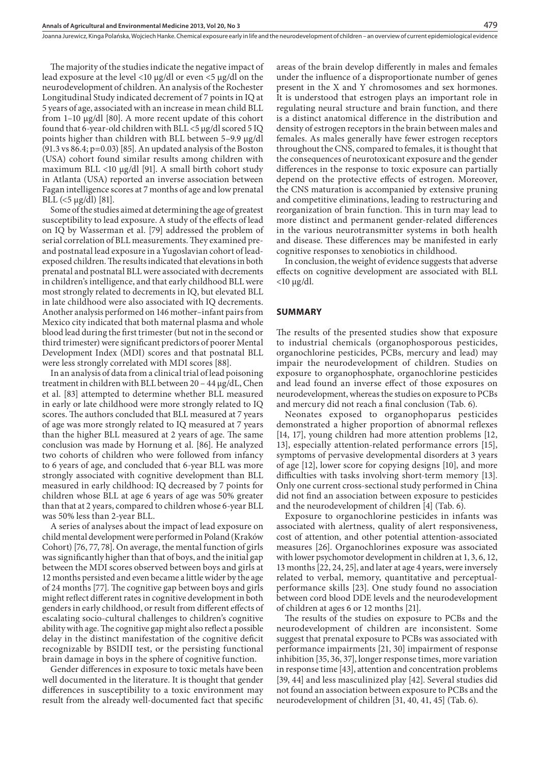The majority of the studies indicate the negative impact of lead exposure at the level <10 µg/dl or even <5 µg/dl on the neurodevelopment of children. An analysis of the Rochester Longitudinal Study indicated decrement of 7 points in IQ at 5 years of age, associated with an increase in mean child BLL from 1–10 µg/dl [80]. A more recent update of this cohort found that 6-year-old children with  $BLL < 5 \mu g/dl$  scored 5 IQ points higher than children with BLL between 5–9.9 µg/dl  $(91.3 \text{ vs } 86.4; \text{p=0.03})$  [85]. An updated analysis of the Boston (USA) cohort found similar results among children with maximum BLL <10 µg/dl [91]. A small birth cohort study in Atlanta (USA) reported an inverse association between Fagan intelligence scores at 7 months of age and low prenatal BLL  $(<5 \mu g/dl)$  [81].

Some of the studies aimed at determining the age of greatest susceptibility to lead exposure. A study of the effects of lead on IQ by Wasserman et al. [79] addressed the problem of serial correlation of BLL measurements. They examined preand postnatal lead exposure in a Yugoslavian cohort of leadexposed children. The results indicated that elevations in both prenatal and postnatal BLL were associated with decrements in children's intelligence, and that early childhood BLL were most strongly related to decrements in IQ, but elevated BLL in late childhood were also associated with IQ decrements. Another analysis performed on 146 mother–infant pairs from Mexico city indicated that both maternal plasma and whole blood lead during the first trimester (but not in the second or third trimester) were significant predictors of poorer Mental Development Index (MDI) scores and that postnatal BLL were less strongly correlated with MDI scores [88].

In an analysis of data from a clinical trial of lead poisoning treatment in children with BLL between 20 – 44 μg/dL, Chen et al. [83] attempted to determine whether BLL measured in early or late childhood were more strongly related to IQ scores. The authors concluded that BLL measured at 7 years of age was more strongly related to IQ measured at 7 years than the higher BLL measured at 2 years of age. The same conclusion was made by Hornung et al. [86]. He analyzed two cohorts of children who were followed from infancy to 6 years of age, and concluded that 6-year BLL was more strongly associated with cognitive development than BLL measured in early childhood: IQ decreased by 7 points for children whose BLL at age 6 years of age was 50% greater than that at 2 years, compared to children whose 6-year BLL was 50% less than 2-year BLL.

A series of analyses about the impact of lead exposure on child mental development were performed in Poland (Kraków Cohort) [76, 77, 78]. On average, the mental function of girls was significantly higher than that of boys, and the initial gap between the MDI scores observed between boys and girls at 12 months persisted and even became a little wider by the age of 24 months [77]. The cognitive gap between boys and girls might reflect different rates in cognitive development in both genders in early childhood, or result from different effects of escalating socio-cultural challenges to children's cognitive ability with age. The cognitive gap might also reflect a possible delay in the distinct manifestation of the cognitive deficit recognizable by BSIDII test, or the persisting functional brain damage in boys in the sphere of cognitive function.

Gender differences in exposure to toxic metals have been well documented in the literature. It is thought that gender differences in susceptibility to a toxic environment may result from the already well-documented fact that specific areas of the brain develop differently in males and females under the influence of a disproportionate number of genes present in the X and Y chromosomes and sex hormones. It is understood that estrogen plays an important role in regulating neural structure and brain function, and there is a distinct anatomical difference in the distribution and density of estrogen receptors in the brain between males and females. As males generally have fewer estrogen receptors throughout the CNS, compared to females, it is thought that the consequences of neurotoxicant exposure and the gender differences in the response to toxic exposure can partially depend on the protective effects of estrogen. Moreover, the CNS maturation is accompanied by extensive pruning and competitive eliminations, leading to restructuring and reorganization of brain function. This in turn may lead to more distinct and permanent gender-related differences in the various neurotransmitter systems in both health and disease. These differences may be manifested in early cognitive responses to xenobiotics in childhood.

In conclusion, the weight of evidence suggests that adverse effects on cognitive development are associated with BLL  $<$ 10 µg/dl.

## **SUMMARY**

The results of the presented studies show that exposure to industrial chemicals (organophosporous pesticides, organochlorine pesticides, PCBs, mercury and lead) may impair the neurodevelopment of children. Studies on exposure to organophosphate, organochlorine pesticides and lead found an inverse effect of those exposures on neurodevelopment, whereas the studies on exposure to PCBs and mercury did not reach a final conclusion (Tab. 6).

Neonates exposed to organophoparus pesticides demonstrated a higher proportion of abnormal reflexes [14, 17], young children had more attention problems [12, 13], especially attention-related performance errors [15], symptoms of pervasive developmental disorders at 3 years of age [12], lower score for copying designs [10], and more difficulties with tasks involving short-term memory [13]. Only one current cross-sectional study performed in China did not find an association between exposure to pesticides and the neurodevelopment of children [4] (Tab. 6).

Exposure to organochlorine pesticides in infants was associated with alertness, quality of alert responsiveness, cost of attention, and other potential attention-associated measures [26]. Organochlorines exposure was associated with lower psychomotor development in children at 1, 3, 6, 12, 13 months [22, 24, 25], and later at age 4 years, were inversely related to verbal, memory, quantitative and perceptualperformance skills [23]. One study found no association between cord blood DDE levels and the neurodevelopment of children at ages 6 or 12 months [21].

The results of the studies on exposure to PCBs and the neurodevelopment of children are inconsistent. Some suggest that prenatal exposure to PCBs was associated with performance impairments [21, 30] impairment of response inhibition [35, 36, 37], longer response times, more variation in response time [43], attention and concentration problems [39, 44] and less masculinized play [42]. Several studies did not found an association between exposure to PCBs and the neurodevelopment of children [31, 40, 41, 45] (Tab. 6).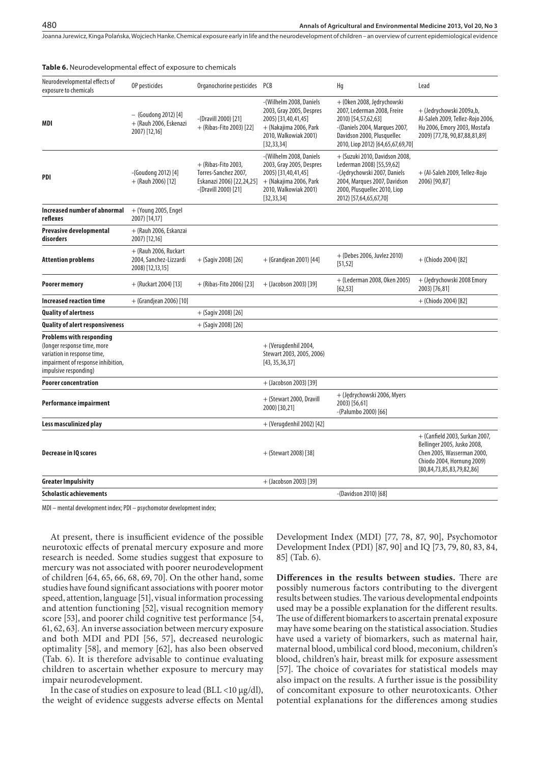#### **Table 6.** Neurodevelopmental effect of exposure to chemicals

| Neurodevelopmental effects of<br>exposure to chemicals                                                                                                | OP pesticides                                                         | Organochorine pesticides PCB                                                                       |                                                                                                                                               | Hg                                                                                                                                                                                    | Lead                                                                                                                                                          |
|-------------------------------------------------------------------------------------------------------------------------------------------------------|-----------------------------------------------------------------------|----------------------------------------------------------------------------------------------------|-----------------------------------------------------------------------------------------------------------------------------------------------|---------------------------------------------------------------------------------------------------------------------------------------------------------------------------------------|---------------------------------------------------------------------------------------------------------------------------------------------------------------|
| MDI                                                                                                                                                   | - (Goudong 2012) [4]<br>+ (Rauh 2006, Eskenazi<br>2007) [12,16]       | -(Dravill 2000) [21]<br>+ (Ribas-Fito 2003) [22]                                                   | -(Wilhelm 2008, Daniels<br>2003, Gray 2005, Despres<br>2005) [31,40,41,45]<br>+ (Nakajima 2006, Park<br>2010, Walkowiak 2001)<br>[32, 33, 34] | + (Oken 2008, Jędrychowski<br>2007, Lederman 2008, Freire<br>2010) [54,57,62,63]<br>-(Daniels 2004, Marques 2007,<br>Davidson 2000, Plusquellec<br>2010, Liop 2012) [64,65,67,69,70]  | + (Jedrychowski 2009a,b,<br>Al-Saleh 2009, Tellez-Rojo 2006,<br>Hu 2006, Emory 2003, Mostafa<br>2009) [77,78, 90,87,88,81,89]                                 |
| PDI                                                                                                                                                   | -(Goudong 2012) [4]<br>$+$ (Rauh 2006) [12]                           | $+$ (Ribas-Fito 2003,<br>Torres-Sanchez 2007,<br>Eskanazi 2006) [22,24,25]<br>-(Dravill 2000) [21] | -(Wilhelm 2008, Daniels<br>2003, Gray 2005, Despres<br>2005) [31,40,41,45]<br>+ (Nakajima 2006, Park<br>2010, Walkowiak 2001)<br>[32, 33, 34] | + (Suzuki 2010, Davidson 2008,<br>Lederman 2008) [55,59,62]<br>-(Jędrychowski 2007, Daniels<br>2004, Marques 2007, Davidson<br>2000, Plusquellec 2010, Liop<br>2012) [57,64,65,67,70] | + (Al-Saleh 2009, Tellez-Rojo<br>2006) [90,87]                                                                                                                |
| Increased number of abnormal<br>reflexes                                                                                                              | + (Young 2005, Engel<br>2007) [14,17]                                 |                                                                                                    |                                                                                                                                               |                                                                                                                                                                                       |                                                                                                                                                               |
| Prevasive developmental<br>disorders                                                                                                                  | + (Rauh 2006, Eskanzai<br>2007) [12,16]                               |                                                                                                    |                                                                                                                                               |                                                                                                                                                                                       |                                                                                                                                                               |
| <b>Attention problems</b>                                                                                                                             | $+$ (Rauh 2006, Ruckart<br>2004, Sanchez-Lizzardi<br>2008) [12,13,15] | $+$ (Sagiv 2008) [26]                                                                              | + (Grandjean 2001) [44]                                                                                                                       | + (Debes 2006, Juvlez 2010)<br>[51, 52]                                                                                                                                               | + (Chiodo 2004) [82]                                                                                                                                          |
| Poorer memory                                                                                                                                         | + (Ruckart 2004) [13]                                                 | $+$ (Ribas-Fito 2006) [23]                                                                         | + (Jacobson 2003) [39]                                                                                                                        | + (Lederman 2008, Oken 2005)<br>[62, 53]                                                                                                                                              | + (Jędrychowski 2008 Emory<br>2003) [76,81]                                                                                                                   |
| <b>Increased reaction time</b>                                                                                                                        | + (Grandjean 2006) [10]                                               |                                                                                                    |                                                                                                                                               |                                                                                                                                                                                       | + (Chiodo 2004) [82]                                                                                                                                          |
| <b>Quality of alertness</b>                                                                                                                           |                                                                       | $+$ (Sagiv 2008) [26]                                                                              |                                                                                                                                               |                                                                                                                                                                                       |                                                                                                                                                               |
| Quality of alert responsiveness                                                                                                                       |                                                                       | $+$ (Sagiv 2008) [26]                                                                              |                                                                                                                                               |                                                                                                                                                                                       |                                                                                                                                                               |
| Problems with responding<br>(longer response time, more<br>variation in response time,<br>impairment of response inhibition,<br>impulsive responding) |                                                                       |                                                                                                    | + (Verugdenhil 2004,<br>Stewart 2003, 2005, 2006)<br>[43, 35, 36, 37]                                                                         |                                                                                                                                                                                       |                                                                                                                                                               |
| <b>Poorer concentration</b>                                                                                                                           |                                                                       |                                                                                                    | + (Jacobson 2003) [39]                                                                                                                        |                                                                                                                                                                                       |                                                                                                                                                               |
| Performance impairment                                                                                                                                |                                                                       |                                                                                                    | + (Stewart 2000, Dravill<br>2000) [30,21]                                                                                                     | + (Jędrychowski 2006, Myers<br>2003) [56,61]<br>-(Palumbo 2000) [66]                                                                                                                  |                                                                                                                                                               |
| Less masculinized play                                                                                                                                |                                                                       |                                                                                                    | + (Verugdenhil 2002) [42]                                                                                                                     |                                                                                                                                                                                       |                                                                                                                                                               |
| Decrease in IQ scores                                                                                                                                 |                                                                       |                                                                                                    | + (Stewart 2008) [38]                                                                                                                         |                                                                                                                                                                                       | + (Canfield 2003, Surkan 2007,<br>Bellinger 2005, Jusko 2008,<br>Chen 2005, Wasserman 2000,<br>Chiodo 2004, Hornung 2009)<br>[80, 84, 73, 85, 83, 79, 82, 86] |
| <b>Greater Impulsivity</b>                                                                                                                            |                                                                       |                                                                                                    | + (Jacobson 2003) [39]                                                                                                                        |                                                                                                                                                                                       |                                                                                                                                                               |
| Scholastic achievements                                                                                                                               |                                                                       |                                                                                                    |                                                                                                                                               | -(Davidson 2010) [68]                                                                                                                                                                 |                                                                                                                                                               |
|                                                                                                                                                       |                                                                       |                                                                                                    |                                                                                                                                               |                                                                                                                                                                                       |                                                                                                                                                               |

MDI – mental development index; PDI – psychomotor development index;

At present, there is insufficient evidence of the possible neurotoxic effects of prenatal mercury exposure and more research is needed. Some studies suggest that exposure to mercury was not associated with poorer neurodevelopment of children [64, 65, 66, 68, 69, 70]. On the other hand, some studies have found significant associations with poorer motor speed, attention, language [51], visual information processing and attention functioning [52], visual recognition memory score [53], and poorer child cognitive test performance [54, 61, 62, 63]. An inverse association between mercury exposure and both MDI and PDI [56, 57], decreased neurologic optimality [58], and memory [62], has also been observed (Tab. 6). It is therefore advisable to continue evaluating children to ascertain whether exposure to mercury may impair neurodevelopment.

In the case of studies on exposure to lead (BLL <10 µg/dl), the weight of evidence suggests adverse effects on Mental Development Index (MDI) [77, 78, 87, 90], Psychomotor Development Index (PDI) [87, 90] and IQ [73, 79, 80, 83, 84, 85] (Tab. 6).

**Differences in the results between studies.** There are possibly numerous factors contributing to the divergent results between studies. The various developmental endpoints used may be a possible explanation for the different results. The use of different biomarkers to ascertain prenatal exposure may have some bearing on the statistical association. Studies have used a variety of biomarkers, such as maternal hair, maternal blood, umbilical cord blood, meconium, children's blood, children's hair, breast milk for exposure assessment [57]. The choice of covariates for statistical models may also impact on the results. A further issue is the possibility of concomitant exposure to other neurotoxicants. Other potential explanations for the differences among studies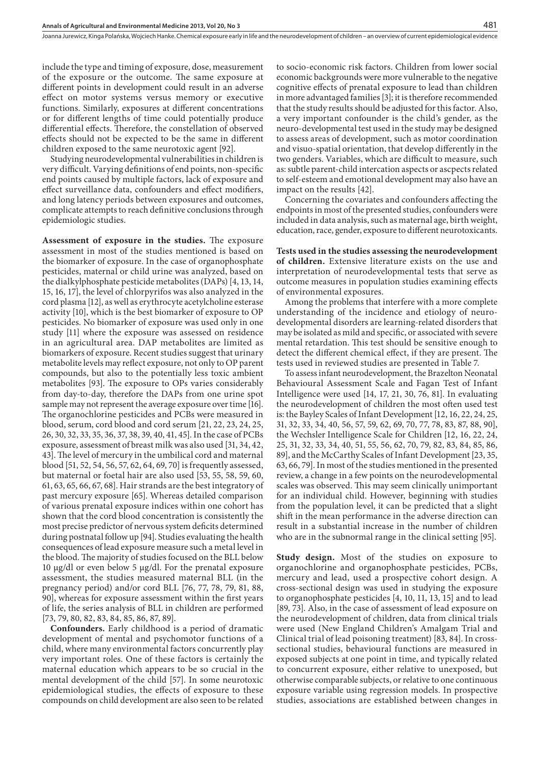include the type and timing of exposure, dose, measurement of the exposure or the outcome. The same exposure at different points in development could result in an adverse effect on motor systems versus memory or executive functions. Similarly, exposures at different concentrations or for different lengths of time could potentially produce differential effects. Therefore, the constellation of observed effects should not be expected to be the same in different children exposed to the same neurotoxic agent [92].

Studying neurodevelopmental vulnerabilities in children is very difficult. Varying definitions of end points, non-specific end points caused by multiple factors, lack of exposure and effect surveillance data, confounders and effect modifiers, and long latency periods between exposures and outcomes, complicate attempts to reach definitive conclusions through epidemiologic studies.

**Assessment of exposure in the studies.** The exposure assessment in most of the studies mentioned is based on the biomarker of exposure. In the case of organophosphate pesticides, maternal or child urine was analyzed, based on the dialkylphosphate pesticide metabolites (DAPs) [4, 13, 14, 15, 16, 17], the level of chlorpyrifos was also analyzed in the cord plasma [12], as well as erythrocyte acetylcholine esterase activity [10], which is the best biomarker of exposure to OP pesticides. No biomarker of exposure was used only in one study [11] where the exposure was assessed on residence in an agricultural area. DAP metabolites are limited as biomarkers of exposure. Recent studies suggest that urinary metabolite levels may reflect exposure, not only to OP parent compounds, but also to the potentially less toxic ambient metabolites [93]. The exposure to OPs varies considerably from day-to-day, therefore the DAPs from one urine spot sample may not represent the average exposure over time [16]. The organochlorine pesticides and PCBs were measured in blood, serum, cord blood and cord serum [21, 22, 23, 24, 25, 26, 30, 32, 33, 35, 36, 37, 38, 39, 40, 41, 45]. In the case of PCBs exposure, assessment of breast milk was also used [31, 34, 42, 43]. The level of mercury in the umbilical cord and maternal blood [51, 52, 54, 56, 57, 62, 64, 69, 70] is frequently assessed, but maternal or foetal hair are also used [53, 55, 58, 59, 60, 61, 63, 65, 66, 67, 68]. Hair strands are the best integratory of past mercury exposure [65]. Whereas detailed comparison of various prenatal exposure indices within one cohort has shown that the cord blood concentration is consistently the most precise predictor of nervous system deficits determined during postnatal follow up [94]. Studies evaluating the health consequences of lead exposure measure such a metal level in the blood. The majority of studies focused on the BLL below 10 µg/dl or even below 5 µg/dl. For the prenatal exposure assessment, the studies measured maternal BLL (in the pregnancy period) and/or cord BLL [76, 77, 78, 79, 81, 88, 90], whereas for exposure assessment within the first years of life, the series analysis of BLL in children are performed [73, 79, 80, 82, 83, 84, 85, 86, 87, 89].

**Confounders.** Early childhood is a period of dramatic development of mental and psychomotor functions of a child, where many environmental factors concurrently play very important roles. One of these factors is certainly the maternal education which appears to be so crucial in the mental development of the child [57]. In some neurotoxic epidemiological studies, the effects of exposure to these compounds on child development are also seen to be related

to socio-economic risk factors. Children from lower social economic backgrounds were more vulnerable to the negative cognitive effects of prenatal exposure to lead than children in more advantaged families [3]; it is therefore recommended that the study results should be adjusted for this factor. Also, a very important confounder is the child's gender, as the neuro-developmental test used in the study may be designed to assess areas of development, such as motor coordination and visuo-spatial orientation, that develop differently in the two genders. Variables, which are difficult to measure, such as: subtle parent-child intercation aspects or ascpects related to self-esteem and emotional development may also have an impact on the results [42].

481

Concerning the covariates and confounders affecting the endpoints in most of the presented studies, confounders were included in data analysis, such as maternal age, birth weight, education, race, gender, exposure to different neurotoxicants.

**Tests used in the studies assessing the neurodevelopment of children.** Extensive literature exists on the use and interpretation of neurodevelopmental tests that serve as outcome measures in population studies examining effects of environmental exposures.

Among the problems that interfere with a more complete understanding of the incidence and etiology of neurodevelopmental disorders are learning-related disorders that may be isolated as mild and specific, or associated with severe mental retardation. This test should be sensitive enough to detect the different chemical effect, if they are present. The tests used in reviewed studies are presented in Table 7.

To assess infant neurodevelopment, the Brazelton Neonatal Behavioural Assessment Scale and Fagan Test of Infant Intelligence were used [14, 17, 21, 30, 76, 81]. In evaluating the neurodevelopment of children the most often used test is: the Bayley Scales of Infant Development [12, 16, 22, 24, 25, 31, 32, 33, 34, 40, 56, 57, 59, 62, 69, 70, 77, 78, 83, 87, 88, 90], the Wechsler Intelligence Scale for Children [12, 16, 22, 24, 25, 31, 32, 33, 34, 40, 51, 55, 56, 62, 70, 79, 82, 83, 84, 85, 86, 89], and the McCarthy Scales of Infant Development [23, 35, 63, 66, 79]. In most of the studies mentioned in the presented review, a change in a few points on the neurodevelopmental scales was observed. This may seem clinically unimportant for an individual child. However, beginning with studies from the population level, it can be predicted that a slight shift in the mean performance in the adverse direction can result in a substantial increase in the number of children who are in the subnormal range in the clinical setting [95].

**Study design.** Most of the studies on exposure to organochlorine and organophosphate pesticides, PCBs, mercury and lead, used a prospective cohort design. A cross-sectional design was used in studying the exposure to organophosphate pesticides [4, 10, 11, 13, 15] and to lead [89, 73]. Also, in the case of assessment of lead exposure on the neurodevelopment of children, data from clinical trials were used (New England Children's Amalgam Trial and Clinical trial of lead poisoning treatment) [83, 84]. In crosssectional studies, behavioural functions are measured in exposed subjects at one point in time, and typically related to concurrent exposure, either relative to unexposed, but otherwise comparable subjects, or relative to one continuous exposure variable using regression models. In prospective studies, associations are established between changes in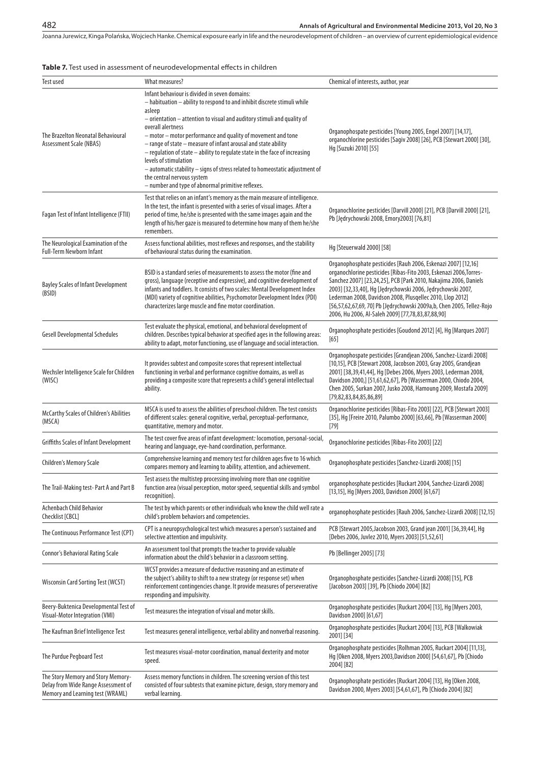# **Table 7.** Test used in assessment of neurodevelopmental effects in children

| Test used                                                                                                     | What measures?                                                                                                                                                                                                                                                                                                                                                                                                                                                                                                                                                                                                                                   | Chemical of interests, author, year                                                                                                                                                                                                                                                                                                                                                                                                                               |
|---------------------------------------------------------------------------------------------------------------|--------------------------------------------------------------------------------------------------------------------------------------------------------------------------------------------------------------------------------------------------------------------------------------------------------------------------------------------------------------------------------------------------------------------------------------------------------------------------------------------------------------------------------------------------------------------------------------------------------------------------------------------------|-------------------------------------------------------------------------------------------------------------------------------------------------------------------------------------------------------------------------------------------------------------------------------------------------------------------------------------------------------------------------------------------------------------------------------------------------------------------|
| The Brazelton Neonatal Behavioural<br><b>Assessment Scale (NBAS)</b>                                          | Infant behaviour is divided in seven domains:<br>- habituation - ability to respond to and inhibit discrete stimuli while<br>asleep<br>– orientation – attention to visual and auditory stimuli and quality of<br>overall alertness<br>- motor - motor performance and quality of movement and tone<br>- range of state - measure of infant arousal and state ability<br>- regulation of state - ability to regulate state in the face of increasing<br>levels of stimulation<br>- automatic stability - signs of stress related to homeostatic adjustment of<br>the central nervous system<br>- number and type of abnormal primitive reflexes. | Organophospate pesticides [Young 2005, Engel 2007] [14,17],<br>organochlorine pesticides [Sagiv 2008] [26], PCB [Stewart 2000] [30],<br>Hq [Suzuki 2010] [55]                                                                                                                                                                                                                                                                                                     |
| Fagan Test of Infant Intelligence (FTII)                                                                      | Test that relies on an infant's memory as the main measure of intelligence.<br>In the test, the infant is presented with a series of visual images. After a<br>period of time, he/she is presented with the same images again and the<br>length of his/her gaze is measured to determine how many of them he/she<br>remembers.                                                                                                                                                                                                                                                                                                                   | Organochlorine pesticides [Darvill 2000] [21], PCB [Darvill 2000] [21],<br>Pb [Jędrychowski 2008, Emory2003] [76,81]                                                                                                                                                                                                                                                                                                                                              |
| The Neurological Examination of the<br><b>Full-Term Newborn Infant</b>                                        | Assess functional abilities, most reflexes and responses, and the stability<br>of behavioural status during the examination.                                                                                                                                                                                                                                                                                                                                                                                                                                                                                                                     | Hg [Steuerwald 2000] [58]                                                                                                                                                                                                                                                                                                                                                                                                                                         |
| <b>Bayley Scales of Infant Development</b><br>(BSID)                                                          | BSID is a standard series of measurements to assess the motor (fine and<br>gross), language (receptive and expressive), and cognitive development of<br>infants and toddlers. It consists of two scales: Mental Development Index<br>(MDI) variety of cognitive abilities, Psychomotor Development Index (PDI)<br>characterizes large muscle and fine motor coordination.                                                                                                                                                                                                                                                                        | Organophosphate pesticides [Rauh 2006, Eskenazi 2007] [12,16]<br>organochlorine pesticides [Ribas-Fito 2003, Eskenazi 2006, Torres-<br>Sanchez 2007] [23,24,25], PCB [Park 2010, Nakajima 2006, Daniels<br>2003] [32,33,40], Hq [Jędrychowski 2006, Jędrychowski 2007,<br>Lederman 2008, Davidson 2008, Plusgellec 2010, Llop 2012]<br>[56,57,62,67,69, 70] Pb [Jędrychowski 2009a,b, Chen 2005, Tellez-Rojo<br>2006, Hu 2006, Al-Saleh 2009] [77,78,83,87,88,90] |
| Gesell Developmental Schedules                                                                                | Test evaluate the physical, emotional, and behavioral development of<br>children. Describes typical behavior at specified ages in the following areas:<br>ability to adapt, motor functioning, use of language and social interaction.                                                                                                                                                                                                                                                                                                                                                                                                           | Organophosphate pesticides [Goudond 2012] [4], Hg [Marques 2007]<br>$[65]$                                                                                                                                                                                                                                                                                                                                                                                        |
| Wechsler Intelligence Scale for Children<br>(WISC)                                                            | It provides subtest and composite scores that represent intellectual<br>functioning in verbal and performance cognitive domains, as well as<br>providing a composite score that represents a child's general intellectual<br>ability.                                                                                                                                                                                                                                                                                                                                                                                                            | Organophospate pesticides [Grandjean 2006, Sanchez-Lizardi 2008]<br>[10,15], PCB [Stewart 2008, Jacobson 2003, Gray 2005, Grandjean<br>2001] [38,39,41,44], Hq [Debes 2006, Myers 2003, Lederman 2008,<br>Davidson 2000,] [51,61,62,67], Pb [Wasserman 2000, Chiodo 2004,<br>Chen 2005, Surkan 2007, Jusko 2008, Hamoung 2009, Mostafa 2009]<br>[79, 82, 83, 84, 85, 86, 89]                                                                                      |
| McCarthy Scales of Children's Abilities<br>(MSCA)                                                             | MSCA is used to assess the abilities of preschool children. The test consists<br>of different scales: general cognitive, verbal, perceptual-performance,<br>quantitative, memory and motor.                                                                                                                                                                                                                                                                                                                                                                                                                                                      | Organochlorine pesticides [Ribas-Fito 2003] [22], PCB [Stewart 2003]<br>[35], Hg [Freire 2010, Palumbo 2000] [63,66], Pb [Wasserman 2000]<br>$[79]$                                                                                                                                                                                                                                                                                                               |
| Griffiths Scales of Infant Development                                                                        | The test cover five areas of infant development: locomotion, personal-social,<br>hearing and language, eye-hand coordination, performance.                                                                                                                                                                                                                                                                                                                                                                                                                                                                                                       | Organochlorine pesticides [Ribas-Fito 2003] [22]                                                                                                                                                                                                                                                                                                                                                                                                                  |
| Children's Memory Scale                                                                                       | Comprehensive learning and memory test for children ages five to 16 which<br>compares memory and learning to ability, attention, and achievement.                                                                                                                                                                                                                                                                                                                                                                                                                                                                                                | Organophosphate pesticides [Sanchez-Lizardi 2008] [15]                                                                                                                                                                                                                                                                                                                                                                                                            |
| The Trail-Making test-Part A and Part B                                                                       | Test assess the multistep processing involving more than one cognitive<br>function area (visual perception, motor speed, sequential skills and symbol<br>recognition).                                                                                                                                                                                                                                                                                                                                                                                                                                                                           | organophosphate pesticides [Ruckart 2004, Sanchez-Lizardi 2008]<br>[13,15], Hg [Myers 2003, Davidson 2000] [61,67]                                                                                                                                                                                                                                                                                                                                                |
| Achenbach Child Behavior<br>Checklist [CBCL]                                                                  | The test by which parents or other individuals who know the child well rate a<br>child's problem behaviors and competencies.                                                                                                                                                                                                                                                                                                                                                                                                                                                                                                                     | organophosphate pesticides [Rauh 2006, Sanchez-Lizardi 2008] [12,15]                                                                                                                                                                                                                                                                                                                                                                                              |
| The Continuous Performance Test (CPT)                                                                         | CPT is a neuropsychological test which measures a person's sustained and<br>selective attention and impulsivity.                                                                                                                                                                                                                                                                                                                                                                                                                                                                                                                                 | PCB [Stewart 2005, Jacobson 2003, Grand jean 2001] [36,39,44], Hg<br>[Debes 2006, Juvlez 2010, Myers 2003] [51,52,61]                                                                                                                                                                                                                                                                                                                                             |
| Connor's Behavioral Rating Scale                                                                              | An assessment tool that prompts the teacher to provide valuable<br>information about the child's behavior in a classroom setting.                                                                                                                                                                                                                                                                                                                                                                                                                                                                                                                | Pb [Bellinger 2005] [73]                                                                                                                                                                                                                                                                                                                                                                                                                                          |
| Wisconsin Card Sorting Test (WCST)                                                                            | WCST provides a measure of deductive reasoning and an estimate of<br>the subject's ability to shift to a new strategy (or response set) when<br>reinforcement contingencies change. It provide measures of perseverative<br>responding and impulsivity.                                                                                                                                                                                                                                                                                                                                                                                          | Organophosphate pesticides [Sanchez-Lizardi 2008] [15], PCB<br>[Jacobson 2003] [39], Pb [Chiodo 2004] [82]                                                                                                                                                                                                                                                                                                                                                        |
| Beery-Buktenica Developmental Test of<br>Visual-Motor Integration (VMI)                                       | Test measures the integration of visual and motor skills.                                                                                                                                                                                                                                                                                                                                                                                                                                                                                                                                                                                        | Organophosphate pesticides [Ruckart 2004] [13], Hg [Myers 2003,<br>Davidson 2000] [61,67]                                                                                                                                                                                                                                                                                                                                                                         |
| The Kaufman Brief Intelligence Test                                                                           | Test measures general intelligence, verbal ability and nonverbal reasoning.                                                                                                                                                                                                                                                                                                                                                                                                                                                                                                                                                                      | Organophosphate pesticides [Ruckart 2004] [13], PCB [Walkowiak<br>2001] [34]                                                                                                                                                                                                                                                                                                                                                                                      |
| The Purdue Pegboard Test                                                                                      | Test measures visual-motor coordination, manual dexterity and motor<br>speed.                                                                                                                                                                                                                                                                                                                                                                                                                                                                                                                                                                    | Organophosphate pesticides [Rolhman 2005, Ruckart 2004] [11,13],<br>Hg [Oken 2008, Myers 2003, Davidson 2000] [54,61,67], Pb [Chiodo<br>2004] [82]                                                                                                                                                                                                                                                                                                                |
| The Story Memory and Story Memory-<br>Delay from Wide Range Assessment of<br>Memory and Learning test (WRAML) | Assess memory functions in children. The screening version of this test<br>consisted of four subtests that examine picture, design, story memory and<br>verbal learning.                                                                                                                                                                                                                                                                                                                                                                                                                                                                         | Organophosphate pesticides [Ruckart 2004] [13], Hq [Oken 2008,<br>Davidson 2000, Myers 2003] [54,61,67], Pb [Chiodo 2004] [82]                                                                                                                                                                                                                                                                                                                                    |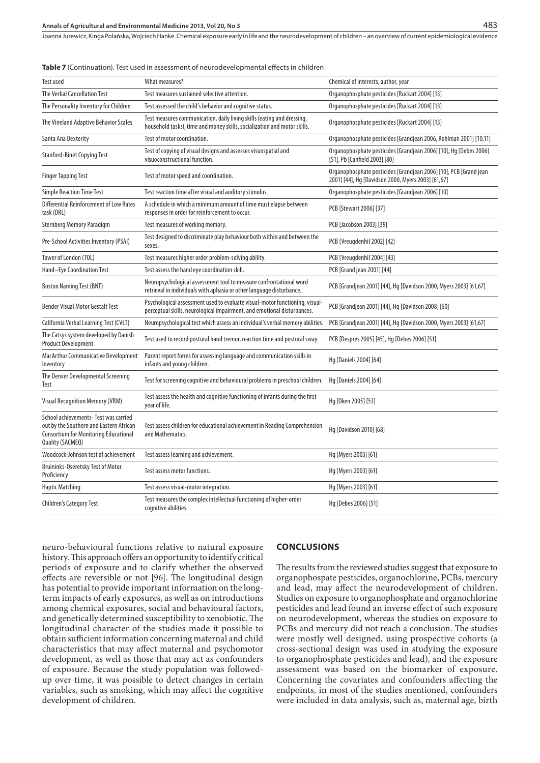|                                                                                                                                                      | <b>Table 7</b> (Continuation). Test used in assessment of neurodevelopmental effects in children                                                       |                                                                                                                         |  |
|------------------------------------------------------------------------------------------------------------------------------------------------------|--------------------------------------------------------------------------------------------------------------------------------------------------------|-------------------------------------------------------------------------------------------------------------------------|--|
| <b>Test used</b>                                                                                                                                     | <b>What measures?</b>                                                                                                                                  | Chemical of interests, author, year                                                                                     |  |
| The Verbal Cancellation Test                                                                                                                         | Test measures sustained selective attention.                                                                                                           | Organophosphate pesticides [Ruckart 2004] [13]                                                                          |  |
| The Personality Inventory for Children                                                                                                               | Test assessed the child's behavior and cognitive status.                                                                                               | Organophosphate pesticides [Ruckart 2004] [13]                                                                          |  |
| The Vineland Adaptive Behavior Scales                                                                                                                | Test measures communication, daily living skills (eating and dressing,<br>household tasks), time and money skills, socialization and motor skills.     | Organophosphate pesticides [Ruckart 2004] [13]                                                                          |  |
| Santa Ana Dexterity                                                                                                                                  | Test of motor coordination.                                                                                                                            | Organophosphate pesticides [Grandjean 2006, Rohlman 2001] [10,11]                                                       |  |
| <b>Stanford-Binet Copying Test</b>                                                                                                                   | Test of copying of visual designs and assesses visuospatial and<br>visuoconstructional function.                                                       | Organophosphate pesticides [Grandjean 2006] [10], Hq [Debes 2006]<br>[51], Pb [Canfield 2003] [80]                      |  |
| <b>Finger Tapping Test</b>                                                                                                                           | Test of motor speed and coordination.                                                                                                                  | Organophosphate pesticides [Grandjean 2006] [10], PCB [Grand jean<br>2001] [44], Hq [Davidson 2000, Myers 2003] [61,67] |  |
| <b>Simple Reaction Time Test</b>                                                                                                                     | Test reaction time after visual and auditory stimulus.                                                                                                 | Organophosphate pesticides [Grandjean 2006] [10]                                                                        |  |
| Differential Reinforcement of Low Rates<br>task (DRL)                                                                                                | A schedule in which a minimum amount of time must elapse between<br>responses in order for reinforcement to occur.                                     | PCB [Stewart 2006] [37]                                                                                                 |  |
| <b>Sternberg Memory Paradigm</b>                                                                                                                     | Test measures of working memory.                                                                                                                       | PCB [Jacobson 2003] [39]                                                                                                |  |
| Pre-School Activities Inventory (PSAI)                                                                                                               | Test designed to discriminate play behaviour both within and between the<br>sexes.                                                                     | PCB [Vreugdenhil 2002] [42]                                                                                             |  |
| Tower of London (TOL)                                                                                                                                | Test measures higher order problem-solving ability.                                                                                                    | PCB [Vreugdenhil 2004] [43]                                                                                             |  |
| Hand-Eye Coordination Test                                                                                                                           | Test assess the hand eye coordination skill.                                                                                                           | PCB [Grand jean 2001] [44]                                                                                              |  |
| <b>Boston Naming Test (BNT)</b>                                                                                                                      | Neuropsychological assessment tool to measure confrontational word<br>retrieval in individuals with aphasia or other language disturbance.             | PCB [Grandjean 2001] [44], Hg [Davidson 2000, Myers 2003] [61,67]                                                       |  |
| <b>Bender Visual Motor Gestalt Test</b>                                                                                                              | Psychological assessment used to evaluate visual-motor functioning, visual-<br>perceptual skills, neurological impairment, and emotional disturbances. | PCB [Grandjean 2001] [44], Hg [Davidson 2008] [60]                                                                      |  |
| California Verbal Learning Test (CVLT)                                                                                                               | Neuropsychological test which assess an individual's verbal memory abilities.                                                                          | PCB [Grandjean 2001] [44], Hg [Davidson 2000, Myers 2003] [61,67]                                                       |  |
| The Catsys system developed by Danish<br><b>Product Development</b>                                                                                  | Test used to record postural hand tremor, reaction time and postural sway.                                                                             | PCB [Despres 2005] [45], Hg [Debes 2006] [51]                                                                           |  |
| <b>MacArthur Communicative Development</b><br>Inventory                                                                                              | Parent report forms for assessing language and communication skills in<br>infants and young children.                                                  | Hq [Daniels 2004] [64]                                                                                                  |  |
| The Denver Developmental Screening<br>Test                                                                                                           | Test for screening cognitive and behavioural problems in preschool children.                                                                           | Hg [Daniels 2004] [64]                                                                                                  |  |
| <b>Visual Recognition Memory (VRM)</b>                                                                                                               | Test assess the health and cognitive functioning of infants during the first<br>year of life.                                                          | Hq [Oken 2005] [53]                                                                                                     |  |
| School achievements- Test was carried<br>out by the Southern and Eastern African<br><b>Consortium for Monitoring Educational</b><br>Quality (SACMEQ) | Test assess children for educational achievement in Reading Comprehension<br>and Mathematics.                                                          | Hg [Davidson 2010] [68]                                                                                                 |  |
| Woodcock-Johnson test of achievement                                                                                                                 | Test assess learning and achievement.                                                                                                                  | Hq [Myers 2003] [61]                                                                                                    |  |
| Bruininks-Oseretsky Test of Motor<br>Proficiency                                                                                                     | Test assess motor functions.                                                                                                                           | Hq [Myers 2003] [61]                                                                                                    |  |
| <b>Haptic Matching</b>                                                                                                                               | Test assess visual-motor integration.                                                                                                                  | Hq [Myers 2003] [61]                                                                                                    |  |
| <b>Children's Category Test</b>                                                                                                                      | Test measures the complex intellectual functioning of higher-order<br>cognitive abilities.                                                             | Hg [Debes 2006] [51]                                                                                                    |  |

|  |  |  |  |  | Table 7 (Continuation). Test used in assessment of neurodevelopmental effects in children |
|--|--|--|--|--|-------------------------------------------------------------------------------------------|
|--|--|--|--|--|-------------------------------------------------------------------------------------------|

neuro-behavioural functions relative to natural exposure history. This approach offers an opportunity to identify critical periods of exposure and to clarify whether the observed effects are reversible or not [96]. The longitudinal design has potential to provide important information on the longterm impacts of early exposures, as well as on introductions among chemical exposures, social and behavioural factors, and genetically determined susceptibility to xenobiotic. The longitudinal character of the studies made it possible to obtain sufficient information concerning maternal and child characteristics that may affect maternal and psychomotor development, as well as those that may act as confounders of exposure. Because the study population was followedup over time, it was possible to detect changes in certain variables, such as smoking, which may affect the cognitive development of children.

## **CONCLUSIONS**

The results from the reviewed studies suggest that exposure to organophospate pesticides, organochlorine, PCBs, mercury and lead, may affect the neurodevelopment of children. Studies on exposure to organophosphate and organochlorine pesticides and lead found an inverse effect of such exposure on neurodevelopment, whereas the studies on exposure to PCBs and mercury did not reach a conclusion. The studies were mostly well designed, using prospective cohorts (a cross-sectional design was used in studying the exposure to organophosphate pesticides and lead), and the exposure assessment was based on the biomarker of exposure. Concerning the covariates and confounders affecting the endpoints, in most of the studies mentioned, confounders were included in data analysis, such as, maternal age, birth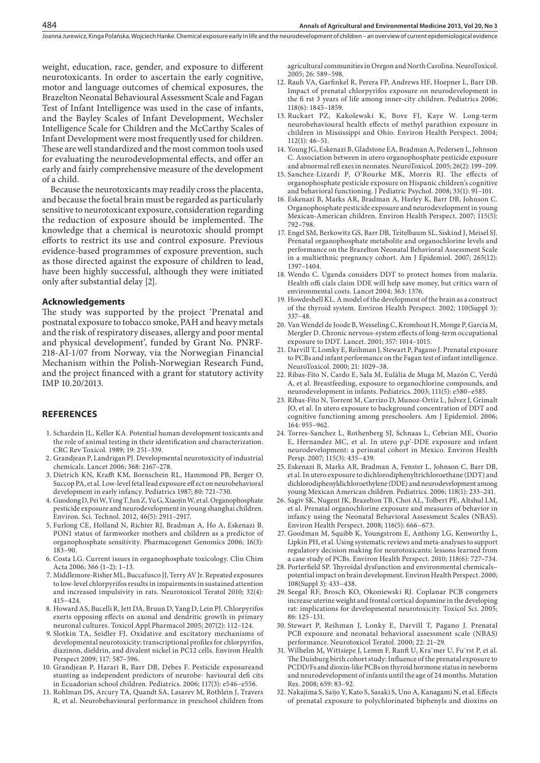weight, education, race, gender, and exposure to different neurotoxicants. In order to ascertain the early cognitive, motor and language outcomes of chemical exposures, the Brazelton Neonatal Behavioural Assessment Scale and Fagan Test of Infant Intelligence was used in the case of infants, and the Bayley Scales of Infant Development, Wechsler Intelligence Scale for Children and the McCarthy Scales of Infant Development were most frequently used for children. These are well standardized and the most common tools used for evaluating the neurodevelopmental effects, and offer an early and fairly comprehensive measure of the development of a child.

Because the neurotoxicants may readily cross the placenta, and because the foetal brain must be regarded as particularly sensitive to neurotoxicant exposure, consideration regarding the reduction of exposure should be implemented. The knowledge that a chemical is neurotoxic should prompt efforts to restrict its use and control exposure. Previous evidence-based programmes of exposure prevention, such as those directed against the exposure of children to lead, have been highly successful, although they were initiated only after substantial delay [2].

## **Acknowledgements**

484

The study was supported by the project 'Prenatal and postnatal exposure to tobacco smoke, PAH and heavy metals and the risk of respiratory diseases, allergy and poor mental and physical development', funded by Grant No. PNRF-218-AI-1/07 from Norway, via the Norwegian Financial Mechanism within the Polish-Norwegian Research Fund, and the project financed with a grant for statutory activity IMP 10.20/2013.

## **REFERENCES**

- 1. Schardein JL, Keller KA. Potential human development toxicants and the role of animal testing in their identification and characterization. CRC Rev Toxicol. 1989; 19: 251–339.
- 2. Grandjean P, Landrigan PJ. Developmental neurotoxicity of industrial chemicals. Lancet 2006; 368: 2167–278.
- 3. Dietrich KN, Krafft KM, Bornschein RL, Hammond PB, Berger O, Succop PA, et al. Low-level fetal lead exposure eff ect on neurobehavioral development in early infancy. Pediatrics 1987; 80: 721–730.
- 4. Guodong D, Pei W, Ying T, Jun Z, Yu G, Xiaojin W, et al. Organophosphate pesticide exposure and neurodevelopment in young shanghai children. Environ. Sci. Technol. 2012, 46(5): 2911–2917.
- 5. Furlong CE, Holland N, Richter RJ, Bradman A, Ho A, Eskenazi B. PON1 status of farmworker mothers and children as a predictor of organophosphate sensitivity. Pharmacogenet Genomics 2006; 16(3): 183–90.
- 6. Costa LG. Current issues in organophosphate toxicology. Clin Chim Acta 2006; 366 (1–2): 1–13.
- 7. Middlemore-Risher ML, Buccafusco JJ, Terry AV Jr. Repeated exposures to low-level chlorpyrifos results in impairments in sustained attention and increased impulsivity in rats. Neurotoxicol Teratol 2010; 32(4): 415–424.
- 8. Howard AS, Bucelli R, Jett DA, Bruun D, Yang D, Lein PJ. Chlorpyrifos exerts opposing effects on axonal and dendritic growth in primary neuronal cultures. Toxicol Appl Pharmacol 2005; 207(2): 112–124.
- 9. Slotkin TA, Seidler FJ. Oxidative and excitatory mechanisms of developmental neurotoxicity: transcriptional profiles for chlorpyrifos, diazinon, dieldrin, and divalent nickel in PC12 cells. Environ Health Perspect 2009; 117: 587–596.
- 10. Grandjean P, Harari R, Barr DB, Debes F. Pesticide exposureand stunting as independent predictors of neurobe- havioural defi cits in Ecuadorian school children. Pediatrics. 2006; 117(3): e546–e556.
- 11. Rohlman DS, Arcury TA, Quandt SA, Lasarev M, Rothlein J, Travers R, et al. Neurobehavioural performance in preschool children from

agricultural communities in Oregon and North Carolina. NeuroToxicol. 2005; 26: 589–598.

- 12. Rauh VA, Garfinkel R, Perera FP, Andrews HF, Hoepner L, Barr DB. Impact of prenatal chlorpyrifos exposure on neurodevelopment in the fi rst 3 years of life among inner-city children. Pediatrics 2006; 118(6): 1845–1859.
- 13. Ruckart PZ, Kakolewski K, Bove FJ, Kaye W. Long-term neurobehavioural health effects of methyl parathion exposure in children in Mississippi and Ohio. Environ Health Perspect. 2004; 112(1): 46–51.
- 14. Young JG, Eskenazi B, Gladstone EA, Bradman A, Pedersen L, Johnson C. Association between in utero organophosphate pesticide exposure and abnormal refl exes in neonates. NeuroToxicol. 2005; 26(2): 199–209.
- 15. Sanchez-Lizardi P, O'Rourke MK, Morris RJ. The effects of organophosphate pesticide exposure on Hispanic children's cognitive and behavioral functioning. J Pediatric Psychol. 2008; 33(1): 91–101.
- 16. Eskenazi B, Marks AR, Bradman A, Harley K, Barr DB, Johnson C. Organophosphate pesticide exposure and neurodevelopment in young Mexican-American children. Environ Health Perspect. 2007; 115(5): 792–798.
- 17. Engel SM, Berkowitz GS, Barr DB, Teitelbaum SL, Siskind J, Meisel SJ. Prenatal organophosphate metabolite and organochlorine levels and performance on the Brazelton Neonatal Behavioral Assessment Scale in a multiethnic pregnancy cohort. Am J Epidemiol. 2007; 265(12): 1397–1404.
- 18. Wendo C. Uganda considers DDT to protect homes from malaria. Health offi cials claim DDE will help save money, but critics warn of environmental costs. Lancet 2004; 363: 1376.
- 19. Howdeshell KL. A model of the development of the brain as a construct of the thyroid system. Environ Health Perspect. 2002; 110(Suppl 3): 337–48.
- 20. Van Wendel de Joode B, Wesseling C, Kromhout H, Monge P, Garcia M, Mergler D. Chronic nervous-system effects of long-term occupational exposure to DDT. Lancet. 2001; 357: 1014–1015.
- 21. Darvill T, Lomky E, Reihman J, Stewart P, Pagano J. Prenatal exposure to PCBs and infant performance on the Fagan test of infant intelligence. NeuroToxicol. 2000; 21: 1029–38.
- 22. Ribas-Fito N, Cardo E, Sala M, Eulàlia de Muga M, Mazón C, Verdú A, et al. Breastfeeding, exposure to organochlorine compounds, and neurodevelopment in infants. Pediatrics. 2003; 111(5): e580–e585.
- 23. Ribas-Fito N, Torrent M, Carrizo D, Munoz-Ortiz L, Julvez J, Grimalt JO, et al. In utero exposure to background concentration of DDT and cognitive functioning among preschoolers. Am J Epidemiol. 2006; 164: 955–962.
- 24. Torres-Sanchez L, Rothenberg SJ, Schnaas L, Cebrian ME, Osorio E, Hernandez MC, et al. In utero p,p'-DDE exposure and infant neurodevelopment: a perinatal cohort in Mexico. Environ Health Persp. 2007; 115(3): 435–439.
- 25. Eskenazi B, Marks AR, Bradman A, Fenster L, Johnson C, Barr DB, et al. In utero exposure to dichlorodiphenyltrichloroethane (DDT) and dichlorodiphenyldichloroethylene (DDE) and neurodevelopment among young Mexican American children. Pediatrics. 2006; 118(1): 233–241.
- 26. Sagiv SK, Nugent JK, Brazelton TB, Choi AL, Tolbert PE, Altshul LM, et al. Prenatal organochlorine exposure and measures of behavior in infancy using the Neonatal Behavioral Assessment Scales (NBAS). Environ Health Perspect. 2008; 116(5): 666–673.
- 27. Goodman M, Squibb K, Youngstrom E, Anthony LG, Kenworthy L, Lipkin PH, et al. Using systematic reviews and meta-analyses to support regulatory decision making for neurotoxicants: lessons learned from a case study of PCBs. Environ Health Perspect. 2010; 118(6): 727–734.
- 28. Porterfield SP. Thyroidal dysfunction and environmental chemicals– potential impact on brain development. Environ Health Perspect. 2000; 108(Suppl 3): 433–438.
- 29. Seegal RF, Brosch KO, Okoniewski RJ. Coplanar PCB congeners increase uterine weight and frontal cortical dopamine in the developing rat: implications for developmental neurotoxicity. Toxicol Sci. 2005; 86: 125–131.
- 30. Stewart P, Reihman J, Lonky E, Darvill T, Pagano J. Prenatal PCB exposure and neonatal behavioral assessment scale (NBAS) performance. Neurotoxicol Teratol. 2000; 22: 21–29.
- 31. Wilhelm M, Wittsiepe J, Lemm F, Ranft U, Kra¨mer U, Fu¨rst P, et al. The Duisburg birth cohort study: Influence of the prenatal exposure to PCDD/Fs and dioxin-like PCBs on thyroid hormone status in newborns and neurodevelopment of infants until the age of 24 months. Mutation Res. 2008; 659: 83–92.
- 32. Nakajima S, Saijo Y, Kato S, Sasaki S, Uno A, Kanagami N, et al. Effects of prenatal exposure to polychlorinated biphenyls and dioxins on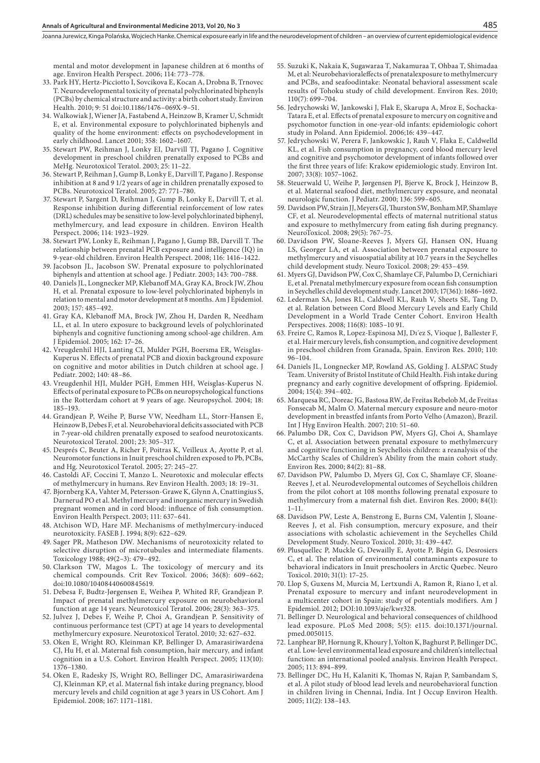mental and motor development in Japanese children at 6 months of age. Environ Health Perspect. 2006; 114: 773–778.

- 33. Park HY, Hertz-Picciotto I, Sovcikova E, Kocan A, Drobna B, Trnovec T. Neurodevelopmental toxicity of prenatal polychlorinated biphenyls (PCBs) by chemical structure and activity: a birth cohort study. Environ Health. 2010; 9: 51 doi:10.1186/1476–069X-9–51.
- 34. Walkowiak J, Wiener JA, Fastabend A, Heinzow B, Kramer U, Schmidt E, et al. Environmental exposure to polychlorinated biphenyls and quality of the home environment: effects on psychodevelopment in early childhood. Lancet 2001; 358: 1602–1607.
- 35. Stewart PW, Reihman J, Lonky EI, Darvill TJ, Pagano J. Cognitive development in preschool children prenatally exposed to PCBs and MeHg. Neurotoxicol Teratol. 2003; 25: 11–22.
- 36. Stewart P, Reihman J, Gump B, Lonky E, Darvill T, Pagano J. Response inhibition at 8 and 9 1/2 years of age in children prenatally exposed to PCBs. Neurotoxicol Teratol. 2005; 27: 771–780.
- 37. Stewart P, Sargent D, Reihman J, Gump B, Lonky E, Darvill T, et al. Response inhibition during differential reinforcement of low rates (DRL) schedules may be sensitive to low-level polychlorinated biphenyl, methylmercury, and lead exposure in children. Environ Health Perspect. 2006; 114: 1923–1929.
- 38. Stewart PW, Lonky E, Reihman J, Pagano J, Gump BB, Darvill T. The relationship between prenatal PCB exposure and intelligence (IQ) in 9-year-old children. Environ Health Perspect. 2008; 116: 1416–1422.
- 39. Jacobson JL, Jacobson SW. Prenatal exposure to polychlorinated biphenyls and attention at school age. J Pediatr. 2003; 143: 700–788.
- 40. Daniels JL, Longnecker MP, Klebanoff MA, Gray KA, Brock JW, Zhou H, et al. Prenatal exposure to low-level polychlorinated biphenyls in relation to mental and motor development at 8 months. Am J Epidemiol. 2003; 157: 485–492.
- 41. Gray KA, Klebanoff MA, Brock JW, Zhou H, Darden R, Needham LL, et al. In utero exposure to background levels of polychlorinated biphenyls and cognitive functioning among school-age children. Am J Epidemiol. 2005; 162: 17–26.
- 42. Vreugdenhil HJI, Lanting CI, Mulder PGH, Boersma ER, Weisglas-Kuperus N. Effects of prenatal PCB and dioxin background exposure on cognitive and motor abilities in Dutch children at school age. J Pediatr. 2002; 140: 48–86.
- 43. Vreugdenhil HJI, Mulder PGH, Emmen HH, Weisglas-Kuperus N. Effects of perinatal exposure to PCBs on neuropsychological functions in the Rotterdam cohort at 9 years of age. Neuropsychol. 2004; 18: 185–193.
- 44. Grandjean P, Weihe P, Burse VW, Needham LL, Storr-Hansen E, Heinzow B, Debes F, et al. Neurobehavioral deficits associated with PCB in 7-year-old children prenatally exposed to seafood neurotoxicants. Neurotoxicol Teratol. 2001; 23: 305–317.
- 45. Després C, Beuter A, Richer F, Poitras K, Veilleux A, Ayotte P, et al. Neuromotor functions in Inuit preschool children exposed to Pb, PCBs, and Hg. Neurotoxicol Teratol. 2005; 27: 245–27.
- 46. Castoldi AF, Coccini T, Manzo L. Neurotoxic and molecular effects of methylmercury in humans. Rev Environ Health. 2003; 18: 19–31.
- 47. Bjornberg KA, Vahter M, Petersson-Grawe K, Glynn A, Cnattingius S, Darnerud PO et al. Methyl mercury and inorganic mercury in Swedish pregnant women and in cord blood: influence of fish consumption. Environ Health Perspect. 2003; 111: 637–641.
- 48. Atchison WD, Hare MF. Mechanisms of methylmercury-induced neurotoxicity. FASEB J. 1994; 8(9): 622–629.
- 49. Sager PR, Matheson DW. Mechanisms of neurotoxicity related to selective disruption of microtubules and intermediate filaments. Toxicology 1988; 49(2–3): 479–492.
- 50. Clarkson TW, Magos L. The toxicology of mercury and its chemical compounds. Crit Rev Toxicol. 2006; 36(8): 609–662; doi:10.1080/10408440600845619.
- 51. Debesa F, Budtz-Jørgensen E, Weihea P, Whited RF, Grandjean P. Impact of prenatal methylmercury exposure on neurobehavioral function at age 14 years. Neurotoxicol Teratol. 2006; 28(3): 363–375.
- 52. Julvez J, Debes F, Weihe P, Choi A, Grandjean P. Sensitivity of continuous performance test (CPT) at age 14 years to developmental methylmercury exposure. Neurotoxicol Teratol. 2010; 32: 627–632.
- 53. Oken E, Wright RO, Kleinman KP, Bellinger D, Amarasiriwardena CJ, Hu H, et al. Maternal fish consumption, hair mercury, and infant cognition in a U.S. Cohort. Environ Health Perspect. 2005; 113(10): 1376–1380.
- 54. Oken E, Radesky JS, Wright RO, Bellinger DC, Amarasiriwardena CJ, Kleinman KP, et al. Maternal fish intake during pregnancy, blood mercury levels and child cognition at age 3 years in US Cohort. Am J Epidemiol. 2008; 167: 1171–1181.
- 55. Suzuki K, Nakaia K, Sugawaraa T, Nakamuraa T, Ohbaa T, Shimadaa M, et al: Neurobehavioraleffects of prenatalexposure to methylmercury and PCBs, and seafoodintake: Neonatal behavioral assessment scale results of Tohoku study of child development. Environ Res. 2010; 110(7): 699–704.
- 56. Jedrychowski W, Jankowski J, Flak E, Skarupa A, Mroz E, Sochacka-Tatara E, et al. Effects of prenatal exposure to mercury on cognitive and psychomotor function in one-year-old infants: epidemiologic cohort study in Poland. Ann Epidemiol. 2006;16: 439–447.
- 57. Jedrychowski W, Perera F, Jankowskic J, Rauh V, Flaka E, Caldwelld KL, et al. Fish consumption in pregnancy, cord blood mercury level and cognitive and psychomotor development of infants followed over the first three years of life: Krakow epidemiologic study. Environ Int. 2007; 33(8): 1057–1062.
- 58. Steuerwald U, Weihe P, Jørgensen PJ, Bjerve K, Brock J, Heinzow B, et al. Maternal seafood diet, methylmercury exposure, and neonatal neurologic function. J Pediatr. 2000; 136: 599–605.
- 59. Davidson PW, Strain JJ, Meyers GJ, Thurston SW, Bonham MP, Shamlaye CF, et al. Neurodevelopmental effects of maternal nutritional status and exposure to methylmercury from eating fish during pregnancy. NeuroToxicol. 2008; 29(5): 767–75.
- 60. Davidson PW, Sloane-Reeves J, Myers GJ, Hansen ON, Huang LS, Georger LA, et al. Association between prenatal exposure to methylmercury and visuospatial ability at 10.7 years in the Seychelles child development study. Neuro Toxicol. 2008; 29: 453–459.
- 61. Myers GJ, Davidson PW, Cox C, Shamlaye CF, Palumbo D, Cernichiari E, et al. Prenatal methylmercury exposure from ocean fish consumption in Seychelles child development study. Lancet 2003; 17(361): 1686–1692.
- 62. Lederman SA, Jones RL, Caldwell KL, Rauh V, Sheets SE, Tang D, et al. Relation between Cord Blood Mercury Levels and Early Child Development in a World Trade Center Cohort. Environ Health Perspectives. 2008; 116(8): 1085–10 91.
- 63. Freire C, Ramos R, Lopez-Espinosa MJ, Dı´ez S, Vioque J, Ballester F, et al. Hair mercury levels, fish consumption, and cognitive development in preschool children from Granada, Spain. Environ Res. 2010; 110: 96–104.
- 64. Daniels JL, Longnecker MP, Rowland AS, Golding J. ALSPAC Study Team. University of Bristol Institute of Child Health. Fish intake during pregnancy and early cognitive development of offspring. Epidemiol. 2004; 15(4): 394–402.
- 65. Marquesa RC, Doreac JG, Bastosa RW, de Freitas Rebelob M, de Freitas Fonsecab M, Malm O. Maternal mercury exposure and neuro-motor development in breastfed infants from Porto Velho (Amazon), Brazil. Int J Hyg Environ Health. 2007; 210: 51–60.
- 66. Palumbo DR, Cox C, Davidson PW, Myers GJ, Choi A, Shamlaye C, et al. Association between prenatal exposure to methylmercury and cognitive functioning in Seychellois children: a reanalysis of the McCarthy Scales of Children's Ability from the main cohort study. Environ Res. 2000; 84(2): 81–88.
- 67. Davidson PW, Palumbo D, Myers GJ, Cox C, Shamlaye CF, Sloane-Reeves J, et al. Neurodevelopmental outcomes of Seychellois children from the pilot cohort at 108 months following prenatal exposure to methylmercury from a maternal fish diet. Environ Res. 2000; 84(1): 1–11.
- 68. Davidson PW, Leste A, Benstrong E, Burns CM, Valentin J, Sloane-Reeves J, et al. Fish consumption, mercury exposure, and their associations with scholastic achievement in the Seychelles Child Development Study. Neuro Toxicol. 2010; 31: 439–447.
- 69. Plusquellec P, Muckle G, Dewailly E, Ayotte P, Bégin G, Desrosiers C, et al. The relation of environmental contaminants exposure to behavioral indicators in Inuit preschoolers in Arctic Quebec. Neuro Toxicol. 2010; 31(1): 17–25.
- 70. Llop S, Guxens M, Murcia M, Lertxundi A, Ramon R, Riano I, et al. Prenatal exposure to mercury and infant neurodevelopment in a multicenter cohort in Spain: study of potentials modifiers. Am J Epidemiol. 2012; DOI:10.1093/aje/kwr328.
- 71. Bellinger D. Neurological and behavioral consequences of childhood lead exposure. PLoS Med 2008; 5(5): e115. doi:10.1371/journal. pmed.0050115.
- 72. Lanphear BP, Hornung R, Khoury J, Yolton K, Baghurst P, Bellinger DC, et al. Low-level environmental lead exposure and children's intellectual function: an international pooled analysis. Environ Health Perspect. 2005; 113: 894–899.
- 73. Bellinger DC, Hu H, Kalaniti K, Thomas N, Rajan P, Sambandam S, et al. A pilot study of blood lead levels and neurobehavioral function in children living in Chennai, India. Int J Occup Environ Health. 2005; 11(2): 138–143.